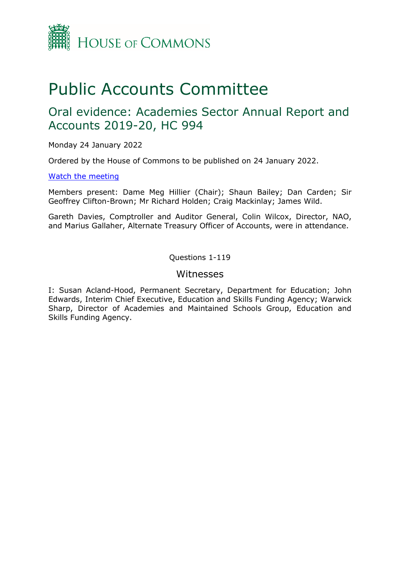

# Public Accounts Committee

## Oral evidence: Academies Sector Annual Report and Accounts 2019-20, HC 994

Monday 24 January 2022

Ordered by the House of Commons to be published on 24 January 2022.

#### [Watch the meeting](https://www.parliamentlive.tv/Event/Index/58b82cc4-5af3-4c9e-9ede-0c9678aac8c0)

Members present: Dame Meg Hillier (Chair); Shaun Bailey; Dan Carden; Sir Geoffrey Clifton-Brown; Mr Richard Holden; Craig Mackinlay; James Wild.

Gareth Davies, Comptroller and Auditor General, Colin Wilcox, Director, NAO, and Marius Gallaher, Alternate Treasury Officer of Accounts, were in attendance.

#### Questions 1-119

#### Witnesses

I: Susan Acland-Hood, Permanent Secretary, Department for Education; John Edwards, Interim Chief Executive, Education and Skills Funding Agency; Warwick Sharp, Director of Academies and Maintained Schools Group, Education and Skills Funding Agency.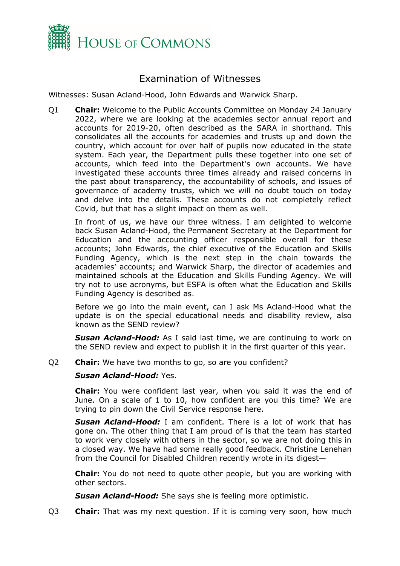

### Examination of Witnesses

Witnesses: Susan Acland-Hood, John Edwards and Warwick Sharp.

Q1 **Chair:** Welcome to the Public Accounts Committee on Monday 24 January 2022, where we are looking at the academies sector annual report and accounts for 2019-20, often described as the SARA in shorthand. This consolidates all the accounts for academies and trusts up and down the country, which account for over half of pupils now educated in the state system. Each year, the Department pulls these together into one set of accounts, which feed into the Department's own accounts. We have investigated these accounts three times already and raised concerns in the past about transparency, the accountability of schools, and issues of governance of academy trusts, which we will no doubt touch on today and delve into the details. These accounts do not completely reflect Covid, but that has a slight impact on them as well.

In front of us, we have our three witness. I am delighted to welcome back Susan Acland-Hood, the Permanent Secretary at the Department for Education and the accounting officer responsible overall for these accounts; John Edwards, the chief executive of the Education and Skills Funding Agency, which is the next step in the chain towards the academies' accounts; and Warwick Sharp, the director of academies and maintained schools at the Education and Skills Funding Agency. We will try not to use acronyms, but ESFA is often what the Education and Skills Funding Agency is described as.

Before we go into the main event, can I ask Ms Acland-Hood what the update is on the special educational needs and disability review, also known as the SEND review?

*Susan Acland-Hood:* As I said last time, we are continuing to work on the SEND review and expect to publish it in the first quarter of this year.

Q2 **Chair:** We have two months to go, so are you confident?

#### *Susan Acland-Hood:* Yes.

**Chair:** You were confident last year, when you said it was the end of June. On a scale of 1 to 10, how confident are you this time? We are trying to pin down the Civil Service response here.

*Susan Acland-Hood:* I am confident. There is a lot of work that has gone on. The other thing that I am proud of is that the team has started to work very closely with others in the sector, so we are not doing this in a closed way. We have had some really good feedback. Christine Lenehan from the Council for Disabled Children recently wrote in its digest—

**Chair:** You do not need to quote other people, but you are working with other sectors.

*Susan Acland-Hood:* She says she is feeling more optimistic.

Q3 **Chair:** That was my next question. If it is coming very soon, how much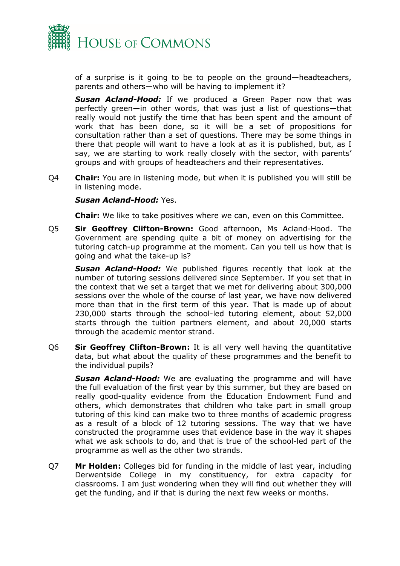

of a surprise is it going to be to people on the ground—headteachers, parents and others—who will be having to implement it?

*Susan Acland-Hood:* If we produced a Green Paper now that was perfectly green—in other words, that was just a list of questions—that really would not justify the time that has been spent and the amount of work that has been done, so it will be a set of propositions for consultation rather than a set of questions. There may be some things in there that people will want to have a look at as it is published, but, as I say, we are starting to work really closely with the sector, with parents' groups and with groups of headteachers and their representatives.

Q4 **Chair:** You are in listening mode, but when it is published you will still be in listening mode.

#### *Susan Acland-Hood:* Yes.

**Chair:** We like to take positives where we can, even on this Committee.

Q5 **Sir Geoffrey Clifton-Brown:** Good afternoon, Ms Acland-Hood. The Government are spending quite a bit of money on advertising for the tutoring catch-up programme at the moment. Can you tell us how that is going and what the take-up is?

*Susan Acland-Hood:* We published figures recently that look at the number of tutoring sessions delivered since September. If you set that in the context that we set a target that we met for delivering about 300,000 sessions over the whole of the course of last year, we have now delivered more than that in the first term of this year. That is made up of about 230,000 starts through the school-led tutoring element, about 52,000 starts through the tuition partners element, and about 20,000 starts through the academic mentor strand.

Q6 **Sir Geoffrey Clifton-Brown:** It is all very well having the quantitative data, but what about the quality of these programmes and the benefit to the individual pupils?

*Susan Acland-Hood:* We are evaluating the programme and will have the full evaluation of the first year by this summer, but they are based on really good-quality evidence from the Education Endowment Fund and others, which demonstrates that children who take part in small group tutoring of this kind can make two to three months of academic progress as a result of a block of 12 tutoring sessions. The way that we have constructed the programme uses that evidence base in the way it shapes what we ask schools to do, and that is true of the school-led part of the programme as well as the other two strands.

Q7 **Mr Holden:** Colleges bid for funding in the middle of last year, including Derwentside College in my constituency, for extra capacity for classrooms. I am just wondering when they will find out whether they will get the funding, and if that is during the next few weeks or months.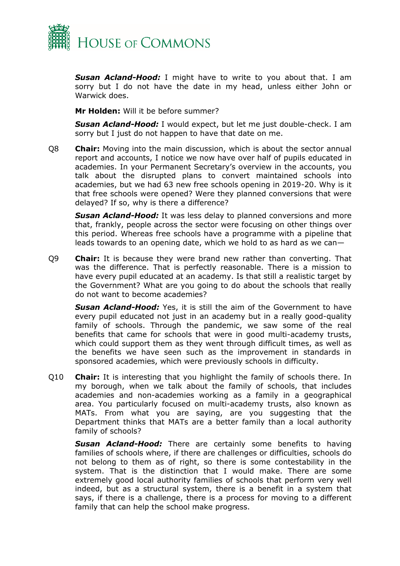

*Susan Acland-Hood:* I might have to write to you about that. I am sorry but I do not have the date in my head, unless either John or Warwick does.

**Mr Holden:** Will it be before summer?

*Susan Acland-Hood:* I would expect, but let me just double-check. I am sorry but I just do not happen to have that date on me.

Q8 **Chair:** Moving into the main discussion, which is about the sector annual report and accounts, I notice we now have over half of pupils educated in academies. In your Permanent Secretary's overview in the accounts, you talk about the disrupted plans to convert maintained schools into academies, but we had 63 new free schools opening in 2019-20. Why is it that free schools were opened? Were they planned conversions that were delayed? If so, why is there a difference?

*Susan Acland-Hood:* It was less delay to planned conversions and more that, frankly, people across the sector were focusing on other things over this period. Whereas free schools have a programme with a pipeline that leads towards to an opening date, which we hold to as hard as we can—

Q9 **Chair:** It is because they were brand new rather than converting. That was the difference. That is perfectly reasonable. There is a mission to have every pupil educated at an academy. Is that still a realistic target by the Government? What are you going to do about the schools that really do not want to become academies?

*Susan Acland-Hood:* Yes, it is still the aim of the Government to have every pupil educated not just in an academy but in a really good-quality family of schools. Through the pandemic, we saw some of the real benefits that came for schools that were in good multi-academy trusts, which could support them as they went through difficult times, as well as the benefits we have seen such as the improvement in standards in sponsored academies, which were previously schools in difficulty.

Q10 **Chair:** It is interesting that you highlight the family of schools there. In my borough, when we talk about the family of schools, that includes academies and non-academies working as a family in a geographical area. You particularly focused on multi-academy trusts, also known as MATs. From what you are saying, are you suggesting that the Department thinks that MATs are a better family than a local authority family of schools?

*Susan Acland-Hood:* There are certainly some benefits to having families of schools where, if there are challenges or difficulties, schools do not belong to them as of right, so there is some contestability in the system. That is the distinction that I would make. There are some extremely good local authority families of schools that perform very well indeed, but as a structural system, there is a benefit in a system that says, if there is a challenge, there is a process for moving to a different family that can help the school make progress.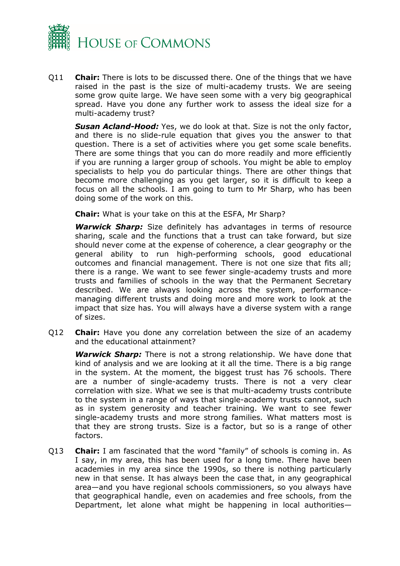

Q11 **Chair:** There is lots to be discussed there. One of the things that we have raised in the past is the size of multi-academy trusts. We are seeing some grow quite large. We have seen some with a very big geographical spread. Have you done any further work to assess the ideal size for a multi-academy trust?

*Susan Acland-Hood:* Yes, we do look at that. Size is not the only factor, and there is no slide-rule equation that gives you the answer to that question. There is a set of activities where you get some scale benefits. There are some things that you can do more readily and more efficiently if you are running a larger group of schools. You might be able to employ specialists to help you do particular things. There are other things that become more challenging as you get larger, so it is difficult to keep a focus on all the schools. I am going to turn to Mr Sharp, who has been doing some of the work on this.

**Chair:** What is your take on this at the ESFA, Mr Sharp?

*Warwick Sharp:* Size definitely has advantages in terms of resource sharing, scale and the functions that a trust can take forward, but size should never come at the expense of coherence, a clear geography or the general ability to run high-performing schools, good educational outcomes and financial management. There is not one size that fits all; there is a range. We want to see fewer single-academy trusts and more trusts and families of schools in the way that the Permanent Secretary described. We are always looking across the system, performancemanaging different trusts and doing more and more work to look at the impact that size has. You will always have a diverse system with a range of sizes.

Q12 **Chair:** Have you done any correlation between the size of an academy and the educational attainment?

*Warwick Sharp:* There is not a strong relationship. We have done that kind of analysis and we are looking at it all the time. There is a big range in the system. At the moment, the biggest trust has 76 schools. There are a number of single-academy trusts. There is not a very clear correlation with size. What we see is that multi-academy trusts contribute to the system in a range of ways that single-academy trusts cannot, such as in system generosity and teacher training. We want to see fewer single-academy trusts and more strong families. What matters most is that they are strong trusts. Size is a factor, but so is a range of other factors.

Q13 **Chair:** I am fascinated that the word "family" of schools is coming in. As I say, in my area, this has been used for a long time. There have been academies in my area since the 1990s, so there is nothing particularly new in that sense. It has always been the case that, in any geographical area—and you have regional schools commissioners, so you always have that geographical handle, even on academies and free schools, from the Department, let alone what might be happening in local authorities—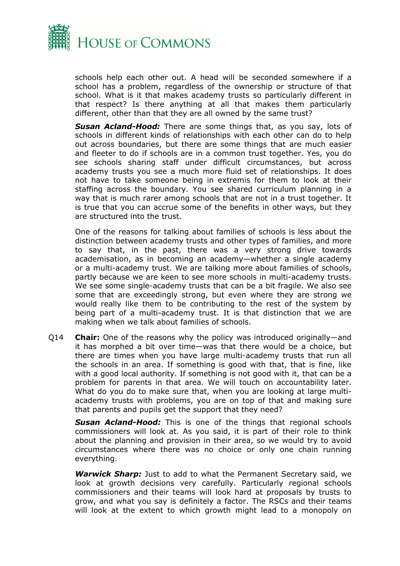

schools help each other out. A head will be seconded somewhere if a school has a problem, regardless of the ownership or structure of that school. What is it that makes academy trusts so particularly different in that respect? Is there anything at all that makes them particularly different, other than that they are all owned by the same trust?

*Susan Acland-Hood:* There are some things that, as you say, lots of schools in different kinds of relationships with each other can do to help out across boundaries, but there are some things that are much easier and fleeter to do if schools are in a common trust together. Yes, you do see schools sharing staff under difficult circumstances, but across academy trusts you see a much more fluid set of relationships. It does not have to take someone being in extremis for them to look at their staffing across the boundary. You see shared curriculum planning in a way that is much rarer among schools that are not in a trust together. It is true that you can accrue some of the benefits in other ways, but they are structured into the trust.

One of the reasons for talking about families of schools is less about the distinction between academy trusts and other types of families, and more to say that, in the past, there was a very strong drive towards academisation, as in becoming an academy—whether a single academy or a multi-academy trust. We are talking more about families of schools, partly because we are keen to see more schools in multi-academy trusts. We see some single-academy trusts that can be a bit fragile. We also see some that are exceedingly strong, but even where they are strong we would really like them to be contributing to the rest of the system by being part of a multi-academy trust. It is that distinction that we are making when we talk about families of schools.

Q14 **Chair:** One of the reasons why the policy was introduced originally—and it has morphed a bit over time—was that there would be a choice, but there are times when you have large multi-academy trusts that run all the schools in an area. If something is good with that, that is fine, like with a good local authority. If something is not good with it, that can be a problem for parents in that area. We will touch on accountability later. What do you do to make sure that, when you are looking at large multiacademy trusts with problems, you are on top of that and making sure that parents and pupils get the support that they need?

*Susan Acland-Hood:* This is one of the things that regional schools commissioners will look at. As you said, it is part of their role to think about the planning and provision in their area, so we would try to avoid circumstances where there was no choice or only one chain running everything.

*Warwick Sharp:* Just to add to what the Permanent Secretary said, we look at growth decisions very carefully. Particularly regional schools commissioners and their teams will look hard at proposals by trusts to grow, and what you say is definitely a factor. The RSCs and their teams will look at the extent to which growth might lead to a monopoly on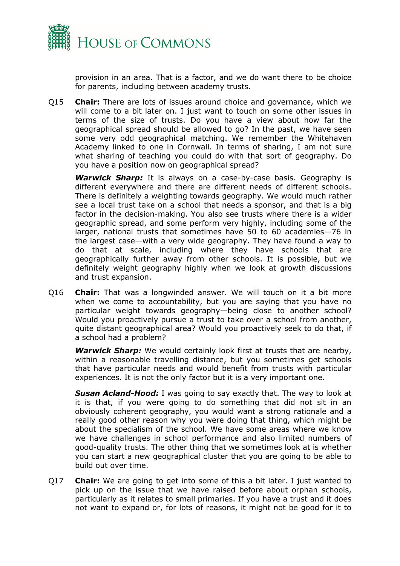

provision in an area. That is a factor, and we do want there to be choice for parents, including between academy trusts.

Q15 **Chair:** There are lots of issues around choice and governance, which we will come to a bit later on. I just want to touch on some other issues in terms of the size of trusts. Do you have a view about how far the geographical spread should be allowed to go? In the past, we have seen some very odd geographical matching. We remember the Whitehaven Academy linked to one in Cornwall. In terms of sharing, I am not sure what sharing of teaching you could do with that sort of geography. Do you have a position now on geographical spread?

**Warwick Sharp:** It is always on a case-by-case basis. Geography is different everywhere and there are different needs of different schools. There is definitely a weighting towards geography. We would much rather see a local trust take on a school that needs a sponsor, and that is a big factor in the decision-making. You also see trusts where there is a wider geographic spread, and some perform very highly, including some of the larger, national trusts that sometimes have 50 to 60 academies—76 in the largest case—with a very wide geography. They have found a way to do that at scale, including where they have schools that are geographically further away from other schools. It is possible, but we definitely weight geography highly when we look at growth discussions and trust expansion.

Q16 **Chair:** That was a longwinded answer. We will touch on it a bit more when we come to accountability, but you are saying that you have no particular weight towards geography—being close to another school? Would you proactively pursue a trust to take over a school from another, quite distant geographical area? Would you proactively seek to do that, if a school had a problem?

*Warwick Sharp:* We would certainly look first at trusts that are nearby, within a reasonable travelling distance, but you sometimes get schools that have particular needs and would benefit from trusts with particular experiences. It is not the only factor but it is a very important one.

*Susan Acland-Hood:* I was going to say exactly that. The way to look at it is that, if you were going to do something that did not sit in an obviously coherent geography, you would want a strong rationale and a really good other reason why you were doing that thing, which might be about the specialism of the school. We have some areas where we know we have challenges in school performance and also limited numbers of good-quality trusts. The other thing that we sometimes look at is whether you can start a new geographical cluster that you are going to be able to build out over time.

Q17 **Chair:** We are going to get into some of this a bit later. I just wanted to pick up on the issue that we have raised before about orphan schools, particularly as it relates to small primaries. If you have a trust and it does not want to expand or, for lots of reasons, it might not be good for it to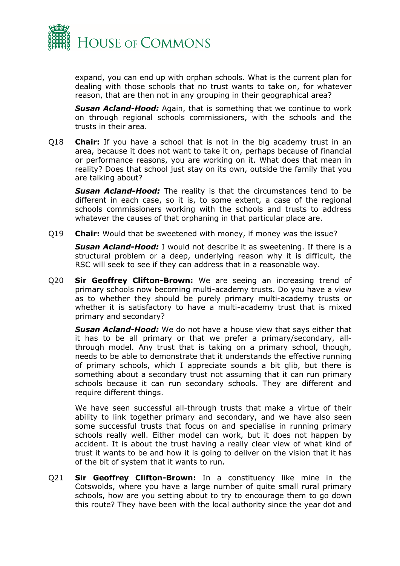

expand, you can end up with orphan schools. What is the current plan for dealing with those schools that no trust wants to take on, for whatever reason, that are then not in any grouping in their geographical area?

*Susan Acland-Hood:* Again, that is something that we continue to work on through regional schools commissioners, with the schools and the trusts in their area.

Q18 **Chair:** If you have a school that is not in the big academy trust in an area, because it does not want to take it on, perhaps because of financial or performance reasons, you are working on it. What does that mean in reality? Does that school just stay on its own, outside the family that you are talking about?

**Susan Acland-Hood:** The reality is that the circumstances tend to be different in each case, so it is, to some extent, a case of the regional schools commissioners working with the schools and trusts to address whatever the causes of that orphaning in that particular place are.

Q19 **Chair:** Would that be sweetened with money, if money was the issue?

*Susan Acland-Hood:* I would not describe it as sweetening. If there is a structural problem or a deep, underlying reason why it is difficult, the RSC will seek to see if they can address that in a reasonable way.

Q20 **Sir Geoffrey Clifton-Brown:** We are seeing an increasing trend of primary schools now becoming multi-academy trusts. Do you have a view as to whether they should be purely primary multi-academy trusts or whether it is satisfactory to have a multi-academy trust that is mixed primary and secondary?

*Susan Acland-Hood:* We do not have a house view that says either that it has to be all primary or that we prefer a primary/secondary, allthrough model. Any trust that is taking on a primary school, though, needs to be able to demonstrate that it understands the effective running of primary schools, which I appreciate sounds a bit glib, but there is something about a secondary trust not assuming that it can run primary schools because it can run secondary schools. They are different and require different things.

We have seen successful all-through trusts that make a virtue of their ability to link together primary and secondary, and we have also seen some successful trusts that focus on and specialise in running primary schools really well. Either model can work, but it does not happen by accident. It is about the trust having a really clear view of what kind of trust it wants to be and how it is going to deliver on the vision that it has of the bit of system that it wants to run.

Q21 **Sir Geoffrey Clifton-Brown:** In a constituency like mine in the Cotswolds, where you have a large number of quite small rural primary schools, how are you setting about to try to encourage them to go down this route? They have been with the local authority since the year dot and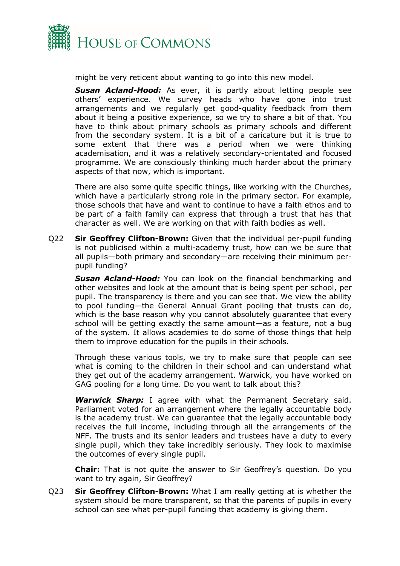

might be very reticent about wanting to go into this new model.

*Susan Acland-Hood:* As ever, it is partly about letting people see others' experience. We survey heads who have gone into trust arrangements and we regularly get good-quality feedback from them about it being a positive experience, so we try to share a bit of that. You have to think about primary schools as primary schools and different from the secondary system. It is a bit of a caricature but it is true to some extent that there was a period when we were thinking academisation, and it was a relatively secondary-orientated and focused programme. We are consciously thinking much harder about the primary aspects of that now, which is important.

There are also some quite specific things, like working with the Churches, which have a particularly strong role in the primary sector. For example, those schools that have and want to continue to have a faith ethos and to be part of a faith family can express that through a trust that has that character as well. We are working on that with faith bodies as well.

Q22 **Sir Geoffrey Clifton-Brown:** Given that the individual per-pupil funding is not publicised within a multi-academy trust, how can we be sure that all pupils—both primary and secondary—are receiving their minimum perpupil funding?

*Susan Acland-Hood:* You can look on the financial benchmarking and other websites and look at the amount that is being spent per school, per pupil. The transparency is there and you can see that. We view the ability to pool funding—the General Annual Grant pooling that trusts can do, which is the base reason why you cannot absolutely guarantee that every school will be getting exactly the same amount—as a feature, not a bug of the system. It allows academies to do some of those things that help them to improve education for the pupils in their schools.

Through these various tools, we try to make sure that people can see what is coming to the children in their school and can understand what they get out of the academy arrangement. Warwick, you have worked on GAG pooling for a long time. Do you want to talk about this?

*Warwick Sharp:* I agree with what the Permanent Secretary said. Parliament voted for an arrangement where the legally accountable body is the academy trust. We can guarantee that the legally accountable body receives the full income, including through all the arrangements of the NFF. The trusts and its senior leaders and trustees have a duty to every single pupil, which they take incredibly seriously. They look to maximise the outcomes of every single pupil.

**Chair:** That is not quite the answer to Sir Geoffrey's question. Do you want to try again, Sir Geoffrey?

Q23 **Sir Geoffrey Clifton-Brown:** What I am really getting at is whether the system should be more transparent, so that the parents of pupils in every school can see what per-pupil funding that academy is giving them.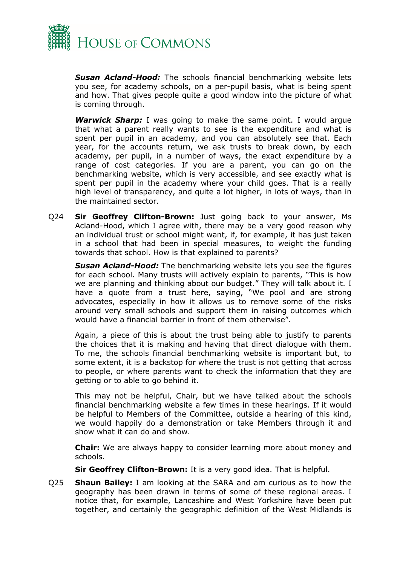

*Susan Acland-Hood:* The schools financial benchmarking website lets you see, for academy schools, on a per-pupil basis, what is being spent and how. That gives people quite a good window into the picture of what is coming through.

*Warwick Sharp:* I was going to make the same point. I would argue that what a parent really wants to see is the expenditure and what is spent per pupil in an academy, and you can absolutely see that. Each year, for the accounts return, we ask trusts to break down, by each academy, per pupil, in a number of ways, the exact expenditure by a range of cost categories. If you are a parent, you can go on the benchmarking website, which is very accessible, and see exactly what is spent per pupil in the academy where your child goes. That is a really high level of transparency, and quite a lot higher, in lots of ways, than in the maintained sector.

Q24 **Sir Geoffrey Clifton-Brown:** Just going back to your answer, Ms Acland-Hood, which I agree with, there may be a very good reason why an individual trust or school might want, if, for example, it has just taken in a school that had been in special measures, to weight the funding towards that school. How is that explained to parents?

*Susan Acland-Hood:* The benchmarking website lets you see the figures for each school. Many trusts will actively explain to parents, "This is how we are planning and thinking about our budget." They will talk about it. I have a quote from a trust here, saying, "We pool and are strong advocates, especially in how it allows us to remove some of the risks around very small schools and support them in raising outcomes which would have a financial barrier in front of them otherwise".

Again, a piece of this is about the trust being able to justify to parents the choices that it is making and having that direct dialogue with them. To me, the schools financial benchmarking website is important but, to some extent, it is a backstop for where the trust is not getting that across to people, or where parents want to check the information that they are getting or to able to go behind it.

This may not be helpful, Chair, but we have talked about the schools financial benchmarking website a few times in these hearings. If it would be helpful to Members of the Committee, outside a hearing of this kind, we would happily do a demonstration or take Members through it and show what it can do and show.

**Chair:** We are always happy to consider learning more about money and schools.

**Sir Geoffrey Clifton-Brown:** It is a very good idea. That is helpful.

Q25 **Shaun Bailey:** I am looking at the SARA and am curious as to how the geography has been drawn in terms of some of these regional areas. I notice that, for example, Lancashire and West Yorkshire have been put together, and certainly the geographic definition of the West Midlands is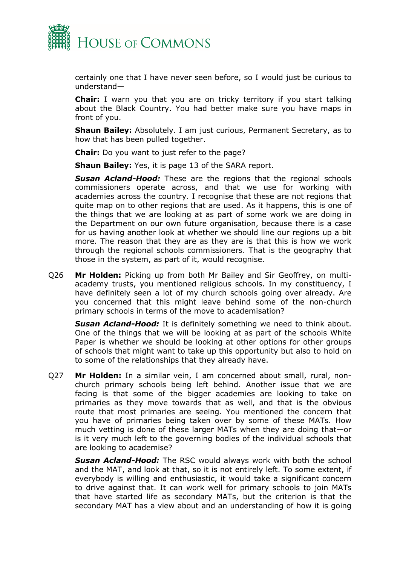

certainly one that I have never seen before, so I would just be curious to understand—

**Chair:** I warn you that you are on tricky territory if you start talking about the Black Country. You had better make sure you have maps in front of you.

**Shaun Bailey:** Absolutely. I am just curious, Permanent Secretary, as to how that has been pulled together.

**Chair:** Do you want to just refer to the page?

**Shaun Bailey:** Yes, it is page 13 of the SARA report.

**Susan Acland-Hood:** These are the regions that the regional schools commissioners operate across, and that we use for working with academies across the country. I recognise that these are not regions that quite map on to other regions that are used. As it happens, this is one of the things that we are looking at as part of some work we are doing in the Department on our own future organisation, because there is a case for us having another look at whether we should line our regions up a bit more. The reason that they are as they are is that this is how we work through the regional schools commissioners. That is the geography that those in the system, as part of it, would recognise.

Q26 **Mr Holden:** Picking up from both Mr Bailey and Sir Geoffrey, on multiacademy trusts, you mentioned religious schools. In my constituency, I have definitely seen a lot of my church schools going over already. Are you concerned that this might leave behind some of the non-church primary schools in terms of the move to academisation?

*Susan Acland-Hood:* It is definitely something we need to think about. One of the things that we will be looking at as part of the schools White Paper is whether we should be looking at other options for other groups of schools that might want to take up this opportunity but also to hold on to some of the relationships that they already have.

Q27 **Mr Holden:** In a similar vein, I am concerned about small, rural, nonchurch primary schools being left behind. Another issue that we are facing is that some of the bigger academies are looking to take on primaries as they move towards that as well, and that is the obvious route that most primaries are seeing. You mentioned the concern that you have of primaries being taken over by some of these MATs. How much vetting is done of these larger MATs when they are doing that—or is it very much left to the governing bodies of the individual schools that are looking to academise?

*Susan Acland-Hood:* The RSC would always work with both the school and the MAT, and look at that, so it is not entirely left. To some extent, if everybody is willing and enthusiastic, it would take a significant concern to drive against that. It can work well for primary schools to join MATs that have started life as secondary MATs, but the criterion is that the secondary MAT has a view about and an understanding of how it is going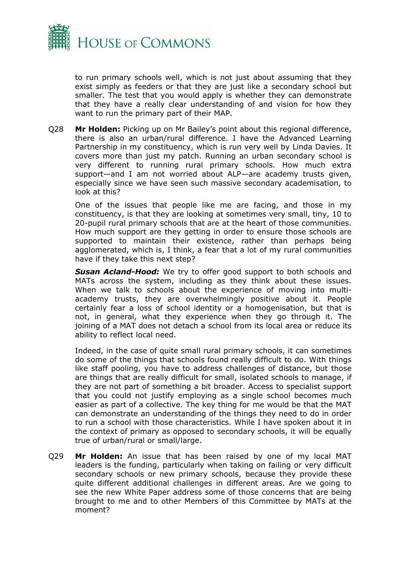

to run primary schools well, which is not just about assuming that they exist simply as feeders or that they are just like a secondary school but smaller. The test that you would apply is whether they can demonstrate that they have a really clear understanding of and vision for how they want to run the primary part of their MAP.

Q28 **Mr Holden:** Picking up on Mr Bailey's point about this regional difference, there is also an urban/rural difference. I have the Advanced Learning Partnership in my constituency, which is run very well by Linda Davies. It covers more than just my patch. Running an urban secondary school is very different to running rural primary schools. How much extra support—and I am not worried about ALP—are academy trusts given, especially since we have seen such massive secondary academisation, to look at this?

One of the issues that people like me are facing, and those in my constituency, is that they are looking at sometimes very small, tiny, 10 to 20-pupil rural primary schools that are at the heart of those communities. How much support are they getting in order to ensure those schools are supported to maintain their existence, rather than perhaps being agglomerated, which is, I think, a fear that a lot of my rural communities have if they take this next step?

*Susan Acland-Hood:* We try to offer good support to both schools and MATs across the system, including as they think about these issues. When we talk to schools about the experience of moving into multiacademy trusts, they are overwhelmingly positive about it. People certainly fear a loss of school identity or a homogenisation, but that is not, in general, what they experience when they go through it. The joining of a MAT does not detach a school from its local area or reduce its ability to reflect local need.

Indeed, in the case of quite small rural primary schools, it can sometimes do some of the things that schools found really difficult to do. With things like staff pooling, you have to address challenges of distance, but those are things that are really difficult for small, isolated schools to manage, if they are not part of something a bit broader. Access to specialist support that you could not justify employing as a single school becomes much easier as part of a collective. The key thing for me would be that the MAT can demonstrate an understanding of the things they need to do in order to run a school with those characteristics. While I have spoken about it in the context of primary as opposed to secondary schools, it will be equally true of urban/rural or small/large.

Q29 **Mr Holden:** An issue that has been raised by one of my local MAT leaders is the funding, particularly when taking on failing or very difficult secondary schools or new primary schools, because they provide these quite different additional challenges in different areas. Are we going to see the new White Paper address some of those concerns that are being brought to me and to other Members of this Committee by MATs at the moment?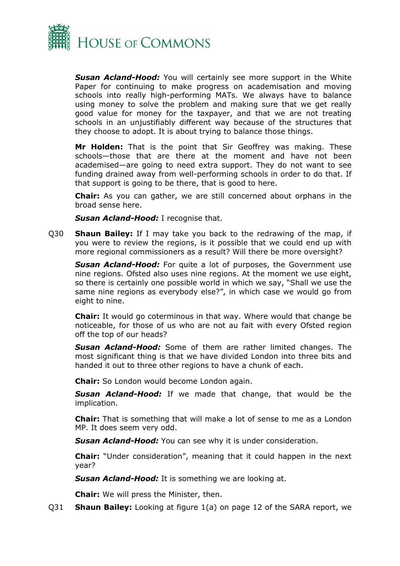

*Susan Acland-Hood:* You will certainly see more support in the White Paper for continuing to make progress on academisation and moving schools into really high-performing MATs. We always have to balance using money to solve the problem and making sure that we get really good value for money for the taxpayer, and that we are not treating schools in an unjustifiably different way because of the structures that they choose to adopt. It is about trying to balance those things.

**Mr Holden:** That is the point that Sir Geoffrey was making. These schools—those that are there at the moment and have not been academised—are going to need extra support. They do not want to see funding drained away from well-performing schools in order to do that. If that support is going to be there, that is good to here.

**Chair:** As you can gather, we are still concerned about orphans in the broad sense here.

**Susan Acland-Hood:** I recognise that.

Q30 **Shaun Bailey:** If I may take you back to the redrawing of the map, if you were to review the regions, is it possible that we could end up with more regional commissioners as a result? Will there be more oversight?

**Susan Acland-Hood:** For quite a lot of purposes, the Government use nine regions. Ofsted also uses nine regions. At the moment we use eight, so there is certainly one possible world in which we say, "Shall we use the same nine regions as everybody else?", in which case we would go from eight to nine.

**Chair:** It would go coterminous in that way. Where would that change be noticeable, for those of us who are not au fait with every Ofsted region off the top of our heads?

*Susan Acland-Hood:* Some of them are rather limited changes. The most significant thing is that we have divided London into three bits and handed it out to three other regions to have a chunk of each.

**Chair:** So London would become London again.

*Susan Acland-Hood:* If we made that change, that would be the implication.

**Chair:** That is something that will make a lot of sense to me as a London MP. It does seem very odd.

*Susan Acland-Hood:* You can see why it is under consideration.

**Chair:** "Under consideration", meaning that it could happen in the next year?

*Susan Acland-Hood:* It is something we are looking at.

**Chair:** We will press the Minister, then.

Q31 **Shaun Bailey:** Looking at figure 1(a) on page 12 of the SARA report, we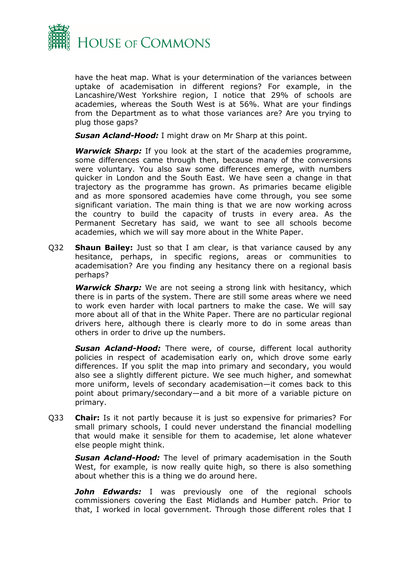

have the heat map. What is your determination of the variances between uptake of academisation in different regions? For example, in the Lancashire/West Yorkshire region, I notice that 29% of schools are academies, whereas the South West is at 56%. What are your findings from the Department as to what those variances are? Are you trying to plug those gaps?

*Susan Acland-Hood:* I might draw on Mr Sharp at this point.

*Warwick Sharp:* If you look at the start of the academies programme, some differences came through then, because many of the conversions were voluntary. You also saw some differences emerge, with numbers quicker in London and the South East. We have seen a change in that trajectory as the programme has grown. As primaries became eligible and as more sponsored academies have come through, you see some significant variation. The main thing is that we are now working across the country to build the capacity of trusts in every area. As the Permanent Secretary has said, we want to see all schools become academies, which we will say more about in the White Paper.

Q32 **Shaun Bailey:** Just so that I am clear, is that variance caused by any hesitance, perhaps, in specific regions, areas or communities to academisation? Are you finding any hesitancy there on a regional basis perhaps?

*Warwick Sharp:* We are not seeing a strong link with hesitancy, which there is in parts of the system. There are still some areas where we need to work even harder with local partners to make the case. We will say more about all of that in the White Paper. There are no particular regional drivers here, although there is clearly more to do in some areas than others in order to drive up the numbers.

*Susan Acland-Hood:* There were, of course, different local authority policies in respect of academisation early on, which drove some early differences. If you split the map into primary and secondary, you would also see a slightly different picture. We see much higher, and somewhat more uniform, levels of secondary academisation—it comes back to this point about primary/secondary—and a bit more of a variable picture on primary.

Q33 **Chair:** Is it not partly because it is just so expensive for primaries? For small primary schools, I could never understand the financial modelling that would make it sensible for them to academise, let alone whatever else people might think.

*Susan Acland-Hood:* The level of primary academisation in the South West, for example, is now really quite high, so there is also something about whether this is a thing we do around here.

*John Edwards:* I was previously one of the regional schools commissioners covering the East Midlands and Humber patch. Prior to that, I worked in local government. Through those different roles that I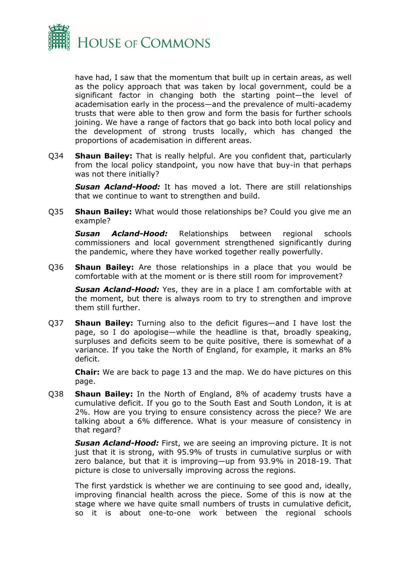

have had, I saw that the momentum that built up in certain areas, as well as the policy approach that was taken by local government, could be a significant factor in changing both the starting point—the level of academisation early in the process—and the prevalence of multi-academy trusts that were able to then grow and form the basis for further schools joining. We have a range of factors that go back into both local policy and the development of strong trusts locally, which has changed the proportions of academisation in different areas.

Q34 **Shaun Bailey:** That is really helpful. Are you confident that, particularly from the local policy standpoint, you now have that buy-in that perhaps was not there initially?

*Susan Acland-Hood:* It has moved a lot. There are still relationships that we continue to want to strengthen and build.

Q35 **Shaun Bailey:** What would those relationships be? Could you give me an example?

*Susan Acland-Hood:* Relationships between regional schools commissioners and local government strengthened significantly during the pandemic, where they have worked together really powerfully.

Q36 **Shaun Bailey:** Are those relationships in a place that you would be comfortable with at the moment or is there still room for improvement?

*Susan Acland-Hood:* Yes, they are in a place I am comfortable with at the moment, but there is always room to try to strengthen and improve them still further.

Q37 **Shaun Bailey:** Turning also to the deficit figures—and I have lost the page, so I do apologise—while the headline is that, broadly speaking, surpluses and deficits seem to be quite positive, there is somewhat of a variance. If you take the North of England, for example, it marks an 8% deficit.

**Chair:** We are back to page 13 and the map. We do have pictures on this page.

Q38 **Shaun Bailey:** In the North of England, 8% of academy trusts have a cumulative deficit. If you go to the South East and South London, it is at 2%. How are you trying to ensure consistency across the piece? We are talking about a 6% difference. What is your measure of consistency in that regard?

*Susan Acland-Hood:* First, we are seeing an improving picture. It is not just that it is strong, with 95.9% of trusts in cumulative surplus or with zero balance, but that it is improving—up from 93.9% in 2018-19. That picture is close to universally improving across the regions.

The first yardstick is whether we are continuing to see good and, ideally, improving financial health across the piece. Some of this is now at the stage where we have quite small numbers of trusts in cumulative deficit, so it is about one-to-one work between the regional schools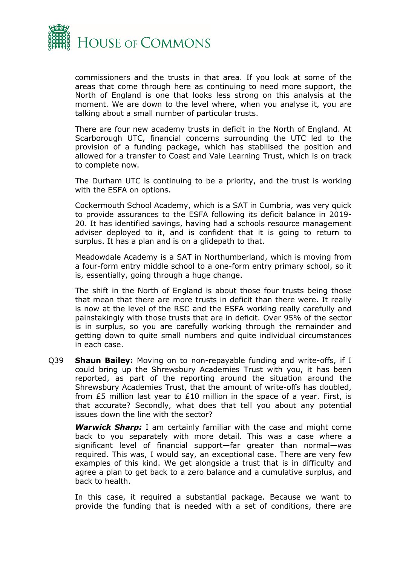

commissioners and the trusts in that area. If you look at some of the areas that come through here as continuing to need more support, the North of England is one that looks less strong on this analysis at the moment. We are down to the level where, when you analyse it, you are talking about a small number of particular trusts.

There are four new academy trusts in deficit in the North of England. At Scarborough UTC, financial concerns surrounding the UTC led to the provision of a funding package, which has stabilised the position and allowed for a transfer to Coast and Vale Learning Trust, which is on track to complete now.

The Durham UTC is continuing to be a priority, and the trust is working with the ESFA on options.

Cockermouth School Academy, which is a SAT in Cumbria, was very quick to provide assurances to the ESFA following its deficit balance in 2019- 20. It has identified savings, having had a schools resource management adviser deployed to it, and is confident that it is going to return to surplus. It has a plan and is on a glidepath to that.

Meadowdale Academy is a SAT in Northumberland, which is moving from a four-form entry middle school to a one-form entry primary school, so it is, essentially, going through a huge change.

The shift in the North of England is about those four trusts being those that mean that there are more trusts in deficit than there were. It really is now at the level of the RSC and the ESFA working really carefully and painstakingly with those trusts that are in deficit. Over 95% of the sector is in surplus, so you are carefully working through the remainder and getting down to quite small numbers and quite individual circumstances in each case.

Q39 **Shaun Bailey:** Moving on to non-repayable funding and write-offs, if I could bring up the Shrewsbury Academies Trust with you, it has been reported, as part of the reporting around the situation around the Shrewsbury Academies Trust, that the amount of write-offs has doubled, from £5 million last year to £10 million in the space of a year. First, is that accurate? Secondly, what does that tell you about any potential issues down the line with the sector?

*Warwick Sharp:* I am certainly familiar with the case and might come back to you separately with more detail. This was a case where a significant level of financial support—far greater than normal—was required. This was, I would say, an exceptional case. There are very few examples of this kind. We get alongside a trust that is in difficulty and agree a plan to get back to a zero balance and a cumulative surplus, and back to health.

In this case, it required a substantial package. Because we want to provide the funding that is needed with a set of conditions, there are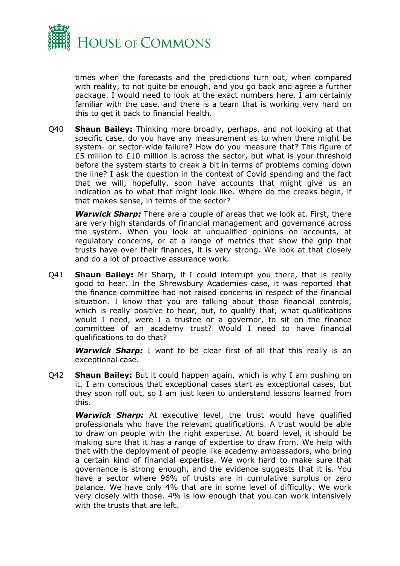

times when the forecasts and the predictions turn out, when compared with reality, to not quite be enough, and you go back and agree a further package. I would need to look at the exact numbers here. I am certainly familiar with the case, and there is a team that is working very hard on this to get it back to financial health.

Q40 **Shaun Bailey:** Thinking more broadly, perhaps, and not looking at that specific case, do you have any measurement as to when there might be system- or sector-wide failure? How do you measure that? This figure of £5 million to £10 million is across the sector, but what is your threshold before the system starts to creak a bit in terms of problems coming down the line? I ask the question in the context of Covid spending and the fact that we will, hopefully, soon have accounts that might give us an indication as to what that might look like. Where do the creaks begin, if that makes sense, in terms of the sector?

*Warwick Sharp:* There are a couple of areas that we look at. First, there are very high standards of financial management and governance across the system. When you look at unqualified opinions on accounts, at regulatory concerns, or at a range of metrics that show the grip that trusts have over their finances, it is very strong. We look at that closely and do a lot of proactive assurance work.

Q41 **Shaun Bailey:** Mr Sharp, if I could interrupt you there, that is really good to hear. In the Shrewsbury Academies case, it was reported that the finance committee had not raised concerns in respect of the financial situation. I know that you are talking about those financial controls, which is really positive to hear, but, to qualify that, what qualifications would I need, were I a trustee or a governor, to sit on the finance committee of an academy trust? Would I need to have financial qualifications to do that?

*Warwick Sharp:* I want to be clear first of all that this really is an exceptional case.

Q42 **Shaun Bailey:** But it could happen again, which is why I am pushing on it. I am conscious that exceptional cases start as exceptional cases, but they soon roll out, so I am just keen to understand lessons learned from this.

*Warwick Sharp:* At executive level, the trust would have qualified professionals who have the relevant qualifications. A trust would be able to draw on people with the right expertise. At board level, it should be making sure that it has a range of expertise to draw from. We help with that with the deployment of people like academy ambassadors, who bring a certain kind of financial expertise. We work hard to make sure that governance is strong enough, and the evidence suggests that it is. You have a sector where 96% of trusts are in cumulative surplus or zero balance. We have only 4% that are in some level of difficulty. We work very closely with those. 4% is low enough that you can work intensively with the trusts that are left.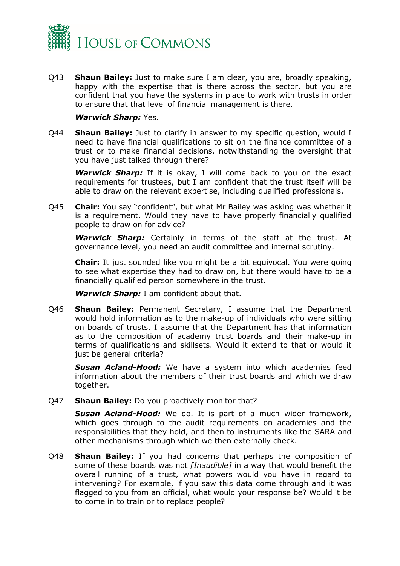

Q43 **Shaun Bailey:** Just to make sure I am clear, you are, broadly speaking, happy with the expertise that is there across the sector, but you are confident that you have the systems in place to work with trusts in order to ensure that that level of financial management is there.

#### *Warwick Sharp:* Yes.

Q44 **Shaun Bailey:** Just to clarify in answer to my specific question, would I need to have financial qualifications to sit on the finance committee of a trust or to make financial decisions, notwithstanding the oversight that you have just talked through there?

**Warwick Sharp:** If it is okay, I will come back to you on the exact requirements for trustees, but I am confident that the trust itself will be able to draw on the relevant expertise, including qualified professionals.

Q45 **Chair:** You say "confident", but what Mr Bailey was asking was whether it is a requirement. Would they have to have properly financially qualified people to draw on for advice?

*Warwick Sharp:* Certainly in terms of the staff at the trust. At governance level, you need an audit committee and internal scrutiny.

**Chair:** It just sounded like you might be a bit equivocal. You were going to see what expertise they had to draw on, but there would have to be a financially qualified person somewhere in the trust.

*Warwick Sharp:* I am confident about that.

Q46 **Shaun Bailey:** Permanent Secretary, I assume that the Department would hold information as to the make-up of individuals who were sitting on boards of trusts. I assume that the Department has that information as to the composition of academy trust boards and their make-up in terms of qualifications and skillsets. Would it extend to that or would it just be general criteria?

*Susan Acland-Hood:* We have a system into which academies feed information about the members of their trust boards and which we draw together.

Q47 **Shaun Bailey:** Do you proactively monitor that?

*Susan Acland-Hood:* We do. It is part of a much wider framework, which goes through to the audit requirements on academies and the responsibilities that they hold, and then to instruments like the SARA and other mechanisms through which we then externally check.

Q48 **Shaun Bailey:** If you had concerns that perhaps the composition of some of these boards was not *[Inaudible]* in a way that would benefit the overall running of a trust, what powers would you have in regard to intervening? For example, if you saw this data come through and it was flagged to you from an official, what would your response be? Would it be to come in to train or to replace people?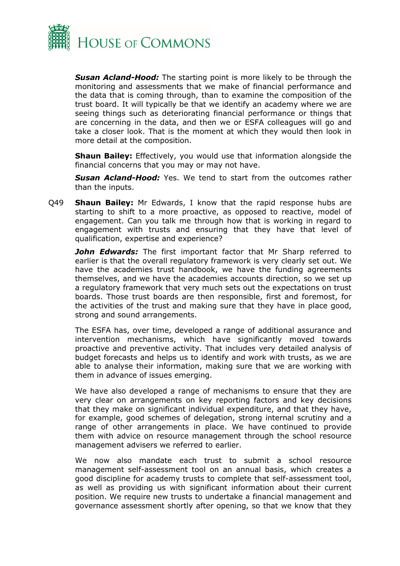

*Susan Acland-Hood:* The starting point is more likely to be through the monitoring and assessments that we make of financial performance and the data that is coming through, than to examine the composition of the trust board. It will typically be that we identify an academy where we are seeing things such as deteriorating financial performance or things that are concerning in the data, and then we or ESFA colleagues will go and take a closer look. That is the moment at which they would then look in more detail at the composition.

**Shaun Bailey:** Effectively, you would use that information alongside the financial concerns that you may or may not have.

*Susan Acland-Hood:* Yes. We tend to start from the outcomes rather than the inputs.

Q49 **Shaun Bailey:** Mr Edwards, I know that the rapid response hubs are starting to shift to a more proactive, as opposed to reactive, model of engagement. Can you talk me through how that is working in regard to engagement with trusts and ensuring that they have that level of qualification, expertise and experience?

**John Edwards:** The first important factor that Mr Sharp referred to earlier is that the overall regulatory framework is very clearly set out. We have the academies trust handbook, we have the funding agreements themselves, and we have the academies accounts direction, so we set up a regulatory framework that very much sets out the expectations on trust boards. Those trust boards are then responsible, first and foremost, for the activities of the trust and making sure that they have in place good, strong and sound arrangements.

The ESFA has, over time, developed a range of additional assurance and intervention mechanisms, which have significantly moved towards proactive and preventive activity. That includes very detailed analysis of budget forecasts and helps us to identify and work with trusts, as we are able to analyse their information, making sure that we are working with them in advance of issues emerging.

We have also developed a range of mechanisms to ensure that they are very clear on arrangements on key reporting factors and key decisions that they make on significant individual expenditure, and that they have, for example, good schemes of delegation, strong internal scrutiny and a range of other arrangements in place. We have continued to provide them with advice on resource management through the school resource management advisers we referred to earlier.

We now also mandate each trust to submit a school resource management self-assessment tool on an annual basis, which creates a good discipline for academy trusts to complete that self-assessment tool, as well as providing us with significant information about their current position. We require new trusts to undertake a financial management and governance assessment shortly after opening, so that we know that they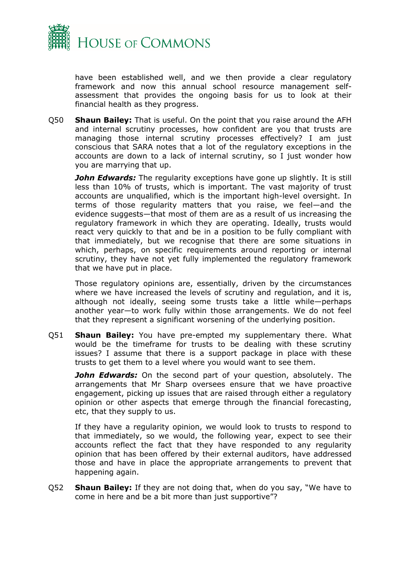

have been established well, and we then provide a clear regulatory framework and now this annual school resource management selfassessment that provides the ongoing basis for us to look at their financial health as they progress.

Q50 **Shaun Bailey:** That is useful. On the point that you raise around the AFH and internal scrutiny processes, how confident are you that trusts are managing those internal scrutiny processes effectively? I am just conscious that SARA notes that a lot of the regulatory exceptions in the accounts are down to a lack of internal scrutiny, so I just wonder how you are marrying that up.

*John Edwards:* The regularity exceptions have gone up slightly. It is still less than 10% of trusts, which is important. The vast majority of trust accounts are unqualified, which is the important high-level oversight. In terms of those regularity matters that you raise, we feel—and the evidence suggests—that most of them are as a result of us increasing the regulatory framework in which they are operating. Ideally, trusts would react very quickly to that and be in a position to be fully compliant with that immediately, but we recognise that there are some situations in which, perhaps, on specific requirements around reporting or internal scrutiny, they have not yet fully implemented the regulatory framework that we have put in place.

Those regulatory opinions are, essentially, driven by the circumstances where we have increased the levels of scrutiny and regulation, and it is, although not ideally, seeing some trusts take a little while—perhaps another year—to work fully within those arrangements. We do not feel that they represent a significant worsening of the underlying position.

Q51 **Shaun Bailey:** You have pre-empted my supplementary there. What would be the timeframe for trusts to be dealing with these scrutiny issues? I assume that there is a support package in place with these trusts to get them to a level where you would want to see them.

*John Edwards:* On the second part of your question, absolutely. The arrangements that Mr Sharp oversees ensure that we have proactive engagement, picking up issues that are raised through either a regulatory opinion or other aspects that emerge through the financial forecasting, etc, that they supply to us.

If they have a regularity opinion, we would look to trusts to respond to that immediately, so we would, the following year, expect to see their accounts reflect the fact that they have responded to any regularity opinion that has been offered by their external auditors, have addressed those and have in place the appropriate arrangements to prevent that happening again.

Q52 **Shaun Bailey:** If they are not doing that, when do you say, "We have to come in here and be a bit more than just supportive"?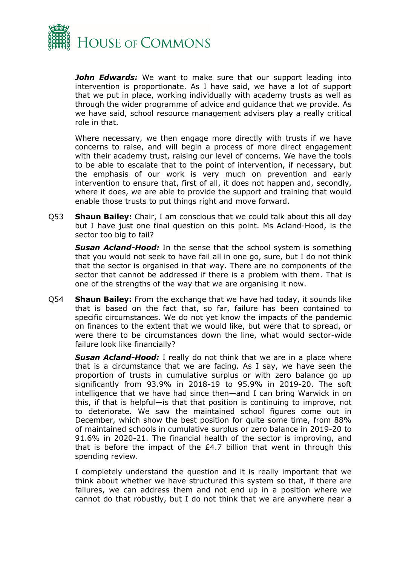

*John Edwards:* We want to make sure that our support leading into intervention is proportionate. As I have said, we have a lot of support that we put in place, working individually with academy trusts as well as through the wider programme of advice and guidance that we provide. As we have said, school resource management advisers play a really critical role in that.

Where necessary, we then engage more directly with trusts if we have concerns to raise, and will begin a process of more direct engagement with their academy trust, raising our level of concerns. We have the tools to be able to escalate that to the point of intervention, if necessary, but the emphasis of our work is very much on prevention and early intervention to ensure that, first of all, it does not happen and, secondly, where it does, we are able to provide the support and training that would enable those trusts to put things right and move forward.

Q53 **Shaun Bailey:** Chair, I am conscious that we could talk about this all day but I have just one final question on this point. Ms Acland-Hood, is the sector too big to fail?

*Susan Acland-Hood:* In the sense that the school system is something that you would not seek to have fail all in one go, sure, but I do not think that the sector is organised in that way. There are no components of the sector that cannot be addressed if there is a problem with them. That is one of the strengths of the way that we are organising it now.

Q54 **Shaun Bailey:** From the exchange that we have had today, it sounds like that is based on the fact that, so far, failure has been contained to specific circumstances. We do not yet know the impacts of the pandemic on finances to the extent that we would like, but were that to spread, or were there to be circumstances down the line, what would sector-wide failure look like financially?

*Susan Acland-Hood:* I really do not think that we are in a place where that is a circumstance that we are facing. As I say, we have seen the proportion of trusts in cumulative surplus or with zero balance go up significantly from 93.9% in 2018-19 to 95.9% in 2019-20. The soft intelligence that we have had since then—and I can bring Warwick in on this, if that is helpful—is that that position is continuing to improve, not to deteriorate. We saw the maintained school figures come out in December, which show the best position for quite some time, from 88% of maintained schools in cumulative surplus or zero balance in 2019-20 to 91.6% in 2020-21. The financial health of the sector is improving, and that is before the impact of the £4.7 billion that went in through this spending review.

I completely understand the question and it is really important that we think about whether we have structured this system so that, if there are failures, we can address them and not end up in a position where we cannot do that robustly, but I do not think that we are anywhere near a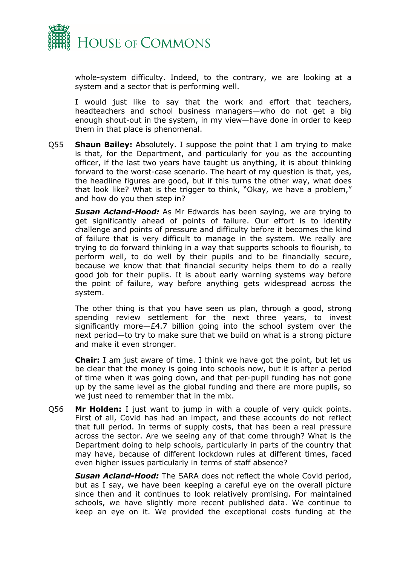

whole-system difficulty. Indeed, to the contrary, we are looking at a system and a sector that is performing well.

I would just like to say that the work and effort that teachers, headteachers and school business managers—who do not get a big enough shout-out in the system, in my view—have done in order to keep them in that place is phenomenal.

Q55 **Shaun Bailey:** Absolutely. I suppose the point that I am trying to make is that, for the Department, and particularly for you as the accounting officer, if the last two years have taught us anything, it is about thinking forward to the worst-case scenario. The heart of my question is that, yes, the headline figures are good, but if this turns the other way, what does that look like? What is the trigger to think, "Okay, we have a problem," and how do you then step in?

*Susan Acland-Hood:* As Mr Edwards has been saying, we are trying to get significantly ahead of points of failure. Our effort is to identify challenge and points of pressure and difficulty before it becomes the kind of failure that is very difficult to manage in the system. We really are trying to do forward thinking in a way that supports schools to flourish, to perform well, to do well by their pupils and to be financially secure, because we know that that financial security helps them to do a really good job for their pupils. It is about early warning systems way before the point of failure, way before anything gets widespread across the system.

The other thing is that you have seen us plan, through a good, strong spending review settlement for the next three years, to invest significantly more—£4.7 billion going into the school system over the next period—to try to make sure that we build on what is a strong picture and make it even stronger.

**Chair:** I am just aware of time. I think we have got the point, but let us be clear that the money is going into schools now, but it is after a period of time when it was going down, and that per-pupil funding has not gone up by the same level as the global funding and there are more pupils, so we just need to remember that in the mix.

Q56 **Mr Holden:** I just want to jump in with a couple of very quick points. First of all, Covid has had an impact, and these accounts do not reflect that full period. In terms of supply costs, that has been a real pressure across the sector. Are we seeing any of that come through? What is the Department doing to help schools, particularly in parts of the country that may have, because of different lockdown rules at different times, faced even higher issues particularly in terms of staff absence?

*Susan Acland-Hood:* The SARA does not reflect the whole Covid period, but as I say, we have been keeping a careful eye on the overall picture since then and it continues to look relatively promising. For maintained schools, we have slightly more recent published data. We continue to keep an eye on it. We provided the exceptional costs funding at the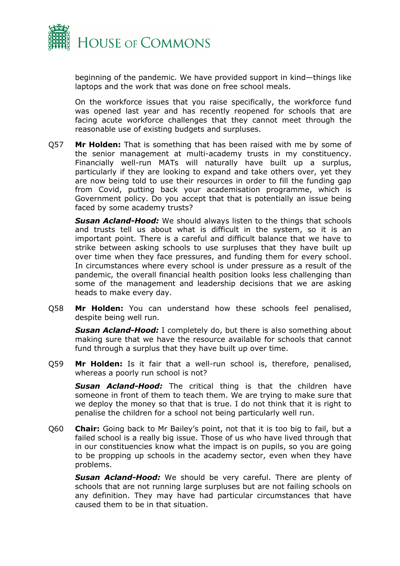

beginning of the pandemic. We have provided support in kind—things like laptops and the work that was done on free school meals.

On the workforce issues that you raise specifically, the workforce fund was opened last year and has recently reopened for schools that are facing acute workforce challenges that they cannot meet through the reasonable use of existing budgets and surpluses.

Q57 **Mr Holden:** That is something that has been raised with me by some of the senior management at multi-academy trusts in my constituency. Financially well-run MATs will naturally have built up a surplus, particularly if they are looking to expand and take others over, yet they are now being told to use their resources in order to fill the funding gap from Covid, putting back your academisation programme, which is Government policy. Do you accept that that is potentially an issue being faced by some academy trusts?

*Susan Acland-Hood:* We should always listen to the things that schools and trusts tell us about what is difficult in the system, so it is an important point. There is a careful and difficult balance that we have to strike between asking schools to use surpluses that they have built up over time when they face pressures, and funding them for every school. In circumstances where every school is under pressure as a result of the pandemic, the overall financial health position looks less challenging than some of the management and leadership decisions that we are asking heads to make every day.

Q58 **Mr Holden:** You can understand how these schools feel penalised, despite being well run.

*Susan Acland-Hood:* I completely do, but there is also something about making sure that we have the resource available for schools that cannot fund through a surplus that they have built up over time.

Q59 **Mr Holden:** Is it fair that a well-run school is, therefore, penalised, whereas a poorly run school is not?

*Susan Acland-Hood:* The critical thing is that the children have someone in front of them to teach them. We are trying to make sure that we deploy the money so that that is true. I do not think that it is right to penalise the children for a school not being particularly well run.

Q60 **Chair:** Going back to Mr Bailey's point, not that it is too big to fail, but a failed school is a really big issue. Those of us who have lived through that in our constituencies know what the impact is on pupils, so you are going to be propping up schools in the academy sector, even when they have problems.

*Susan Acland-Hood:* We should be very careful. There are plenty of schools that are not running large surpluses but are not failing schools on any definition. They may have had particular circumstances that have caused them to be in that situation.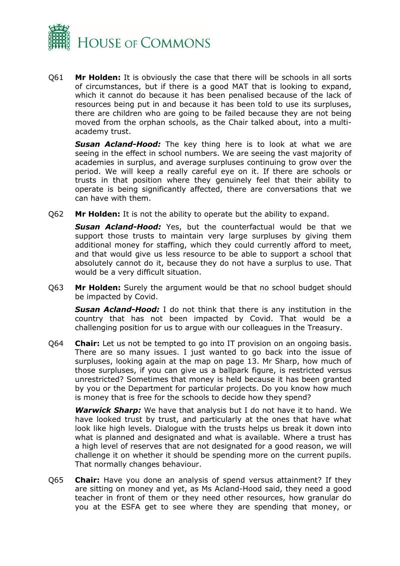

Q61 **Mr Holden:** It is obviously the case that there will be schools in all sorts of circumstances, but if there is a good MAT that is looking to expand, which it cannot do because it has been penalised because of the lack of resources being put in and because it has been told to use its surpluses, there are children who are going to be failed because they are not being moved from the orphan schools, as the Chair talked about, into a multiacademy trust.

*Susan Acland-Hood:* The key thing here is to look at what we are seeing in the effect in school numbers. We are seeing the vast majority of academies in surplus, and average surpluses continuing to grow over the period. We will keep a really careful eye on it. If there are schools or trusts in that position where they genuinely feel that their ability to operate is being significantly affected, there are conversations that we can have with them.

Q62 **Mr Holden:** It is not the ability to operate but the ability to expand.

*Susan Acland-Hood:* Yes, but the counterfactual would be that we support those trusts to maintain very large surpluses by giving them additional money for staffing, which they could currently afford to meet, and that would give us less resource to be able to support a school that absolutely cannot do it, because they do not have a surplus to use. That would be a very difficult situation.

Q63 **Mr Holden:** Surely the argument would be that no school budget should be impacted by Covid.

*Susan Acland-Hood:* I do not think that there is any institution in the country that has not been impacted by Covid. That would be a challenging position for us to argue with our colleagues in the Treasury.

Q64 **Chair:** Let us not be tempted to go into IT provision on an ongoing basis. There are so many issues. I just wanted to go back into the issue of surpluses, looking again at the map on page 13. Mr Sharp, how much of those surpluses, if you can give us a ballpark figure, is restricted versus unrestricted? Sometimes that money is held because it has been granted by you or the Department for particular projects. Do you know how much is money that is free for the schools to decide how they spend?

*Warwick Sharp:* We have that analysis but I do not have it to hand. We have looked trust by trust, and particularly at the ones that have what look like high levels. Dialogue with the trusts helps us break it down into what is planned and designated and what is available. Where a trust has a high level of reserves that are not designated for a good reason, we will challenge it on whether it should be spending more on the current pupils. That normally changes behaviour.

Q65 **Chair:** Have you done an analysis of spend versus attainment? If they are sitting on money and yet, as Ms Acland-Hood said, they need a good teacher in front of them or they need other resources, how granular do you at the ESFA get to see where they are spending that money, or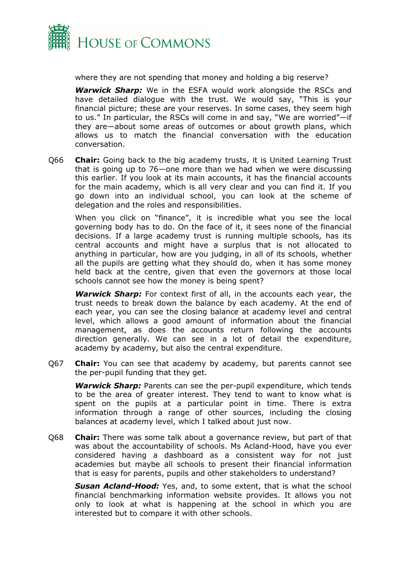

where they are not spending that money and holding a big reserve?

*Warwick Sharp:* We in the ESFA would work alongside the RSCs and have detailed dialogue with the trust. We would say, "This is your financial picture; these are your reserves. In some cases, they seem high to us." In particular, the RSCs will come in and say, "We are worried"—if they are—about some areas of outcomes or about growth plans, which allows us to match the financial conversation with the education conversation.

Q66 **Chair:** Going back to the big academy trusts, it is United Learning Trust that is going up to 76—one more than we had when we were discussing this earlier. If you look at its main accounts, it has the financial accounts for the main academy, which is all very clear and you can find it. If you go down into an individual school, you can look at the scheme of delegation and the roles and responsibilities.

When you click on "finance", it is incredible what you see the local governing body has to do. On the face of it, it sees none of the financial decisions. If a large academy trust is running multiple schools, has its central accounts and might have a surplus that is not allocated to anything in particular, how are you judging, in all of its schools, whether all the pupils are getting what they should do, when it has some money held back at the centre, given that even the governors at those local schools cannot see how the money is being spent?

*Warwick Sharp:* For context first of all, in the accounts each year, the trust needs to break down the balance by each academy. At the end of each year, you can see the closing balance at academy level and central level, which allows a good amount of information about the financial management, as does the accounts return following the accounts direction generally. We can see in a lot of detail the expenditure, academy by academy, but also the central expenditure.

Q67 **Chair:** You can see that academy by academy, but parents cannot see the per-pupil funding that they get.

*Warwick Sharp:* Parents can see the per-pupil expenditure, which tends to be the area of greater interest. They tend to want to know what is spent on the pupils at a particular point in time. There is extra information through a range of other sources, including the closing balances at academy level, which I talked about just now.

Q68 **Chair:** There was some talk about a governance review, but part of that was about the accountability of schools. Ms Acland-Hood, have you ever considered having a dashboard as a consistent way for not just academies but maybe all schools to present their financial information that is easy for parents, pupils and other stakeholders to understand?

*Susan Acland-Hood:* Yes, and, to some extent, that is what the school financial benchmarking information website provides. It allows you not only to look at what is happening at the school in which you are interested but to compare it with other schools.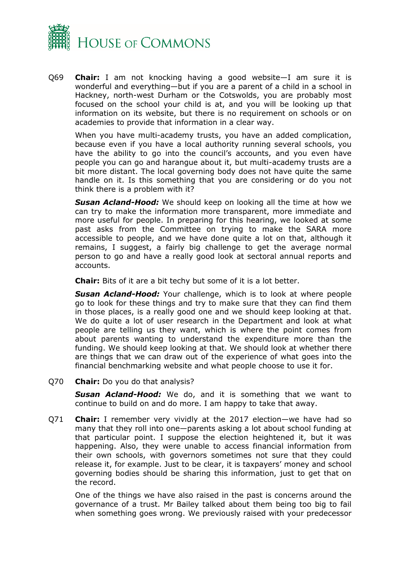

Q69 **Chair:** I am not knocking having a good website—I am sure it is wonderful and everything—but if you are a parent of a child in a school in Hackney, north-west Durham or the Cotswolds, you are probably most focused on the school your child is at, and you will be looking up that information on its website, but there is no requirement on schools or on academies to provide that information in a clear way.

When you have multi-academy trusts, you have an added complication, because even if you have a local authority running several schools, you have the ability to go into the council's accounts, and you even have people you can go and harangue about it, but multi-academy trusts are a bit more distant. The local governing body does not have quite the same handle on it. Is this something that you are considering or do you not think there is a problem with it?

*Susan Acland-Hood:* We should keep on looking all the time at how we can try to make the information more transparent, more immediate and more useful for people. In preparing for this hearing, we looked at some past asks from the Committee on trying to make the SARA more accessible to people, and we have done quite a lot on that, although it remains, I suggest, a fairly big challenge to get the average normal person to go and have a really good look at sectoral annual reports and accounts.

**Chair:** Bits of it are a bit techy but some of it is a lot better.

*Susan Acland-Hood:* Your challenge, which is to look at where people go to look for these things and try to make sure that they can find them in those places, is a really good one and we should keep looking at that. We do quite a lot of user research in the Department and look at what people are telling us they want, which is where the point comes from about parents wanting to understand the expenditure more than the funding. We should keep looking at that. We should look at whether there are things that we can draw out of the experience of what goes into the financial benchmarking website and what people choose to use it for.

Q70 **Chair:** Do you do that analysis?

*Susan Acland-Hood:* We do, and it is something that we want to continue to build on and do more. I am happy to take that away.

Q71 **Chair:** I remember very vividly at the 2017 election—we have had so many that they roll into one—parents asking a lot about school funding at that particular point. I suppose the election heightened it, but it was happening. Also, they were unable to access financial information from their own schools, with governors sometimes not sure that they could release it, for example. Just to be clear, it is taxpayers' money and school governing bodies should be sharing this information, just to get that on the record.

One of the things we have also raised in the past is concerns around the governance of a trust. Mr Bailey talked about them being too big to fail when something goes wrong. We previously raised with your predecessor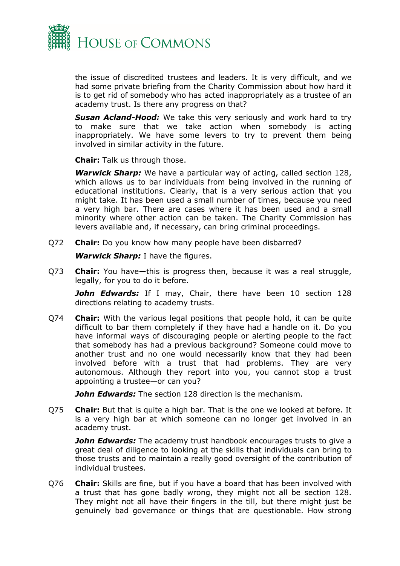

the issue of discredited trustees and leaders. It is very difficult, and we had some private briefing from the Charity Commission about how hard it is to get rid of somebody who has acted inappropriately as a trustee of an academy trust. Is there any progress on that?

*Susan Acland-Hood:* We take this very seriously and work hard to try to make sure that we take action when somebody is acting inappropriately. We have some levers to try to prevent them being involved in similar activity in the future.

**Chair:** Talk us through those.

*Warwick Sharp:* We have a particular way of acting, called section 128, which allows us to bar individuals from being involved in the running of educational institutions. Clearly, that is a very serious action that you might take. It has been used a small number of times, because you need a very high bar. There are cases where it has been used and a small minority where other action can be taken. The Charity Commission has levers available and, if necessary, can bring criminal proceedings.

Q72 **Chair:** Do you know how many people have been disbarred?

*Warwick Sharp:* I have the figures.

Q73 **Chair:** You have—this is progress then, because it was a real struggle, legally, for you to do it before.

John Edwards: If I may, Chair, there have been 10 section 128 directions relating to academy trusts.

Q74 **Chair:** With the various legal positions that people hold, it can be quite difficult to bar them completely if they have had a handle on it. Do you have informal ways of discouraging people or alerting people to the fact that somebody has had a previous background? Someone could move to another trust and no one would necessarily know that they had been involved before with a trust that had problems. They are very autonomous. Although they report into you, you cannot stop a trust appointing a trustee—or can you?

*John Edwards:* The section 128 direction is the mechanism.

Q75 **Chair:** But that is quite a high bar. That is the one we looked at before. It is a very high bar at which someone can no longer get involved in an academy trust.

*John Edwards:* The academy trust handbook encourages trusts to give a great deal of diligence to looking at the skills that individuals can bring to those trusts and to maintain a really good oversight of the contribution of individual trustees.

Q76 **Chair:** Skills are fine, but if you have a board that has been involved with a trust that has gone badly wrong, they might not all be section 128. They might not all have their fingers in the till, but there might just be genuinely bad governance or things that are questionable. How strong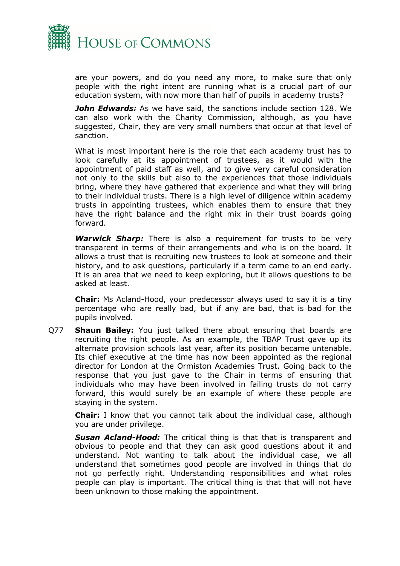

are your powers, and do you need any more, to make sure that only people with the right intent are running what is a crucial part of our education system, with now more than half of pupils in academy trusts?

*John Edwards:* As we have said, the sanctions include section 128. We can also work with the Charity Commission, although, as you have suggested, Chair, they are very small numbers that occur at that level of sanction.

What is most important here is the role that each academy trust has to look carefully at its appointment of trustees, as it would with the appointment of paid staff as well, and to give very careful consideration not only to the skills but also to the experiences that those individuals bring, where they have gathered that experience and what they will bring to their individual trusts. There is a high level of diligence within academy trusts in appointing trustees, which enables them to ensure that they have the right balance and the right mix in their trust boards going forward.

*Warwick Sharp:* There is also a requirement for trusts to be very transparent in terms of their arrangements and who is on the board. It allows a trust that is recruiting new trustees to look at someone and their history, and to ask questions, particularly if a term came to an end early. It is an area that we need to keep exploring, but it allows questions to be asked at least.

**Chair:** Ms Acland-Hood, your predecessor always used to say it is a tiny percentage who are really bad, but if any are bad, that is bad for the pupils involved.

Q77 **Shaun Bailey:** You just talked there about ensuring that boards are recruiting the right people. As an example, the TBAP Trust gave up its alternate provision schools last year, after its position became untenable. Its chief executive at the time has now been appointed as the regional director for London at the Ormiston Academies Trust. Going back to the response that you just gave to the Chair in terms of ensuring that individuals who may have been involved in failing trusts do not carry forward, this would surely be an example of where these people are staying in the system.

**Chair:** I know that you cannot talk about the individual case, although you are under privilege.

*Susan Acland-Hood:* The critical thing is that that is transparent and obvious to people and that they can ask good questions about it and understand. Not wanting to talk about the individual case, we all understand that sometimes good people are involved in things that do not go perfectly right. Understanding responsibilities and what roles people can play is important. The critical thing is that that will not have been unknown to those making the appointment.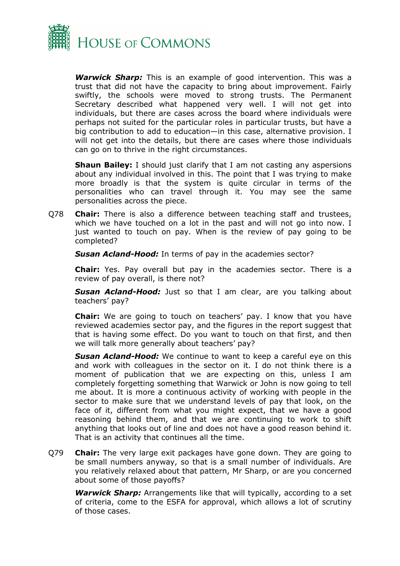

*Warwick Sharp:* This is an example of good intervention. This was a trust that did not have the capacity to bring about improvement. Fairly swiftly, the schools were moved to strong trusts. The Permanent Secretary described what happened very well. I will not get into individuals, but there are cases across the board where individuals were perhaps not suited for the particular roles in particular trusts, but have a big contribution to add to education—in this case, alternative provision. I will not get into the details, but there are cases where those individuals can go on to thrive in the right circumstances.

**Shaun Bailey:** I should just clarify that I am not casting any aspersions about any individual involved in this. The point that I was trying to make more broadly is that the system is quite circular in terms of the personalities who can travel through it. You may see the same personalities across the piece.

Q78 **Chair:** There is also a difference between teaching staff and trustees, which we have touched on a lot in the past and will not go into now. I just wanted to touch on pay. When is the review of pay going to be completed?

*Susan Acland-Hood:* In terms of pay in the academies sector?

**Chair:** Yes. Pay overall but pay in the academies sector. There is a review of pay overall, is there not?

*Susan Acland-Hood:* Just so that I am clear, are you talking about teachers' pay?

**Chair:** We are going to touch on teachers' pay. I know that you have reviewed academies sector pay, and the figures in the report suggest that that is having some effect. Do you want to touch on that first, and then we will talk more generally about teachers' pay?

*Susan Acland-Hood:* We continue to want to keep a careful eye on this and work with colleagues in the sector on it. I do not think there is a moment of publication that we are expecting on this, unless I am completely forgetting something that Warwick or John is now going to tell me about. It is more a continuous activity of working with people in the sector to make sure that we understand levels of pay that look, on the face of it, different from what you might expect, that we have a good reasoning behind them, and that we are continuing to work to shift anything that looks out of line and does not have a good reason behind it. That is an activity that continues all the time.

Q79 **Chair:** The very large exit packages have gone down. They are going to be small numbers anyway, so that is a small number of individuals. Are you relatively relaxed about that pattern, Mr Sharp, or are you concerned about some of those payoffs?

*Warwick Sharp:* Arrangements like that will typically, according to a set of criteria, come to the ESFA for approval, which allows a lot of scrutiny of those cases.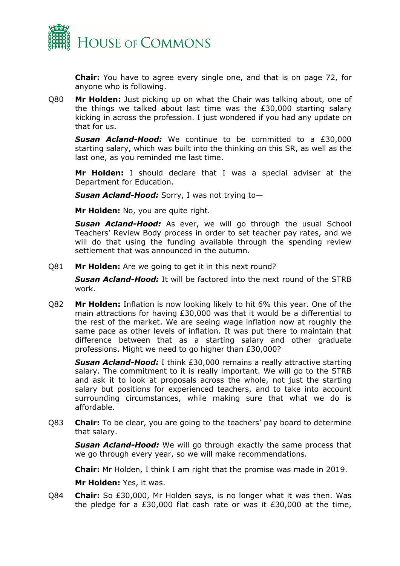

**Chair:** You have to agree every single one, and that is on page 72, for anyone who is following.

Q80 **Mr Holden:** Just picking up on what the Chair was talking about, one of the things we talked about last time was the £30,000 starting salary kicking in across the profession. I just wondered if you had any update on that for us.

*Susan Acland-Hood:* We continue to be committed to a £30,000 starting salary, which was built into the thinking on this SR, as well as the last one, as you reminded me last time.

**Mr Holden:** I should declare that I was a special adviser at the Department for Education.

*Susan Acland-Hood:* Sorry, I was not trying to—

**Mr Holden:** No, you are quite right.

*Susan Acland-Hood:* As ever, we will go through the usual School Teachers' Review Body process in order to set teacher pay rates, and we will do that using the funding available through the spending review settlement that was announced in the autumn.

Q81 **Mr Holden:** Are we going to get it in this next round?

*Susan Acland-Hood:* It will be factored into the next round of the STRB work.

Q82 **Mr Holden:** Inflation is now looking likely to hit 6% this year. One of the main attractions for having £30,000 was that it would be a differential to the rest of the market. We are seeing wage inflation now at roughly the same pace as other levels of inflation. It was put there to maintain that difference between that as a starting salary and other graduate professions. Might we need to go higher than £30,000?

*Susan Acland-Hood:* I think £30,000 remains a really attractive starting salary. The commitment to it is really important. We will go to the STRB and ask it to look at proposals across the whole, not just the starting salary but positions for experienced teachers, and to take into account surrounding circumstances, while making sure that what we do is affordable.

Q83 **Chair:** To be clear, you are going to the teachers' pay board to determine that salary.

*Susan Acland-Hood:* We will go through exactly the same process that we go through every year, so we will make recommendations.

**Chair:** Mr Holden, I think I am right that the promise was made in 2019.

**Mr Holden:** Yes, it was.

Q84 **Chair:** So £30,000, Mr Holden says, is no longer what it was then. Was the pledge for a £30,000 flat cash rate or was it £30,000 at the time,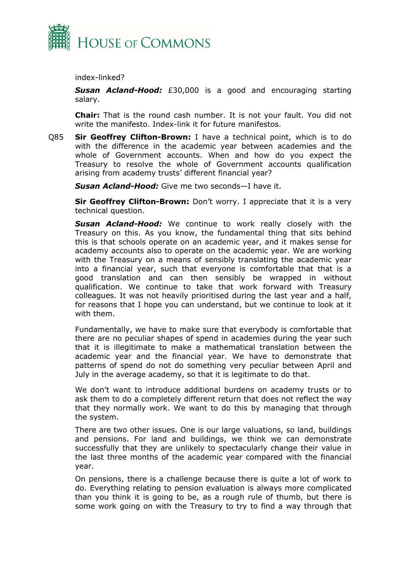

index-linked?

*Susan Acland-Hood:* £30,000 is a good and encouraging starting salary.

**Chair:** That is the round cash number. It is not your fault. You did not write the manifesto. Index-link it for future manifestos.

Q85 **Sir Geoffrey Clifton-Brown:** I have a technical point, which is to do with the difference in the academic year between academies and the whole of Government accounts. When and how do you expect the Treasury to resolve the whole of Government accounts qualification arising from academy trusts' different financial year?

*Susan Acland-Hood:* Give me two seconds—I have it.

**Sir Geoffrey Clifton-Brown:** Don't worry. I appreciate that it is a very technical question.

**Susan Acland-Hood:** We continue to work really closely with the Treasury on this. As you know, the fundamental thing that sits behind this is that schools operate on an academic year, and it makes sense for academy accounts also to operate on the academic year. We are working with the Treasury on a means of sensibly translating the academic year into a financial year, such that everyone is comfortable that that is a good translation and can then sensibly be wrapped in without qualification. We continue to take that work forward with Treasury colleagues. It was not heavily prioritised during the last year and a half, for reasons that I hope you can understand, but we continue to look at it with them.

Fundamentally, we have to make sure that everybody is comfortable that there are no peculiar shapes of spend in academies during the year such that it is illegitimate to make a mathematical translation between the academic year and the financial year. We have to demonstrate that patterns of spend do not do something very peculiar between April and July in the average academy, so that it is legitimate to do that.

We don't want to introduce additional burdens on academy trusts or to ask them to do a completely different return that does not reflect the way that they normally work. We want to do this by managing that through the system.

There are two other issues. One is our large valuations, so land, buildings and pensions. For land and buildings, we think we can demonstrate successfully that they are unlikely to spectacularly change their value in the last three months of the academic year compared with the financial year.

On pensions, there is a challenge because there is quite a lot of work to do. Everything relating to pension evaluation is always more complicated than you think it is going to be, as a rough rule of thumb, but there is some work going on with the Treasury to try to find a way through that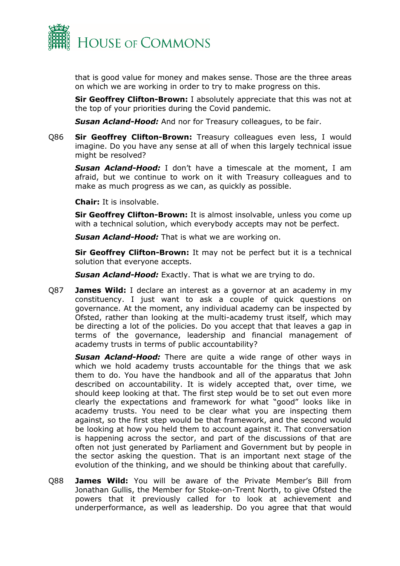

that is good value for money and makes sense. Those are the three areas on which we are working in order to try to make progress on this.

**Sir Geoffrey Clifton-Brown:** I absolutely appreciate that this was not at the top of your priorities during the Covid pandemic.

*Susan Acland-Hood:* And nor for Treasury colleagues, to be fair.

Q86 **Sir Geoffrey Clifton-Brown:** Treasury colleagues even less, I would imagine. Do you have any sense at all of when this largely technical issue might be resolved?

*Susan Acland-Hood:* I don't have a timescale at the moment, I am afraid, but we continue to work on it with Treasury colleagues and to make as much progress as we can, as quickly as possible.

**Chair:** It is insolvable.

**Sir Geoffrey Clifton-Brown:** It is almost insolvable, unless you come up with a technical solution, which everybody accepts may not be perfect.

*Susan Acland-Hood:* That is what we are working on.

**Sir Geoffrey Clifton-Brown:** It may not be perfect but it is a technical solution that everyone accepts.

*Susan Acland-Hood:* Exactly. That is what we are trying to do.

Q87 **James Wild:** I declare an interest as a governor at an academy in my constituency. I just want to ask a couple of quick questions on governance. At the moment, any individual academy can be inspected by Ofsted, rather than looking at the multi-academy trust itself, which may be directing a lot of the policies. Do you accept that that leaves a gap in terms of the governance, leadership and financial management of academy trusts in terms of public accountability?

*Susan Acland-Hood:* There are quite a wide range of other ways in which we hold academy trusts accountable for the things that we ask them to do. You have the handbook and all of the apparatus that John described on accountability. It is widely accepted that, over time, we should keep looking at that. The first step would be to set out even more clearly the expectations and framework for what "good" looks like in academy trusts. You need to be clear what you are inspecting them against, so the first step would be that framework, and the second would be looking at how you held them to account against it. That conversation is happening across the sector, and part of the discussions of that are often not just generated by Parliament and Government but by people in the sector asking the question. That is an important next stage of the evolution of the thinking, and we should be thinking about that carefully.

Q88 **James Wild:** You will be aware of the Private Member's Bill from Jonathan Gullis, the Member for Stoke-on-Trent North, to give Ofsted the powers that it previously called for to look at achievement and underperformance, as well as leadership. Do you agree that that would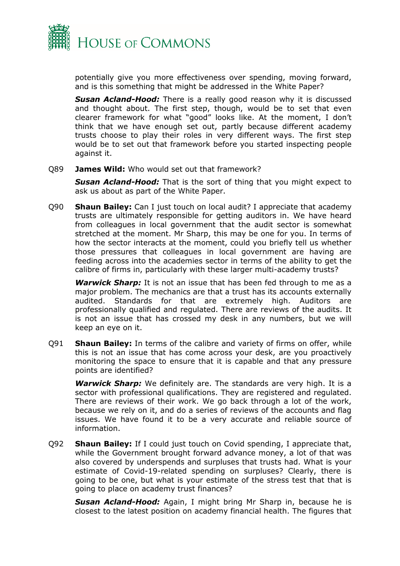

potentially give you more effectiveness over spending, moving forward, and is this something that might be addressed in the White Paper?

*Susan Acland-Hood:* There is a really good reason why it is discussed and thought about. The first step, though, would be to set that even clearer framework for what "good" looks like. At the moment, I don't think that we have enough set out, partly because different academy trusts choose to play their roles in very different ways. The first step would be to set out that framework before you started inspecting people against it.

Q89 **James Wild:** Who would set out that framework?

*Susan Acland-Hood:* That is the sort of thing that you might expect to ask us about as part of the White Paper.

Q90 **Shaun Bailey:** Can I just touch on local audit? I appreciate that academy trusts are ultimately responsible for getting auditors in. We have heard from colleagues in local government that the audit sector is somewhat stretched at the moment. Mr Sharp, this may be one for you. In terms of how the sector interacts at the moment, could you briefly tell us whether those pressures that colleagues in local government are having are feeding across into the academies sector in terms of the ability to get the calibre of firms in, particularly with these larger multi-academy trusts?

*Warwick Sharp:* It is not an issue that has been fed through to me as a major problem. The mechanics are that a trust has its accounts externally audited. Standards for that are extremely high. Auditors are professionally qualified and regulated. There are reviews of the audits. It is not an issue that has crossed my desk in any numbers, but we will keep an eye on it.

Q91 **Shaun Bailey:** In terms of the calibre and variety of firms on offer, while this is not an issue that has come across your desk, are you proactively monitoring the space to ensure that it is capable and that any pressure points are identified?

*Warwick Sharp:* We definitely are. The standards are very high. It is a sector with professional qualifications. They are registered and regulated. There are reviews of their work. We go back through a lot of the work, because we rely on it, and do a series of reviews of the accounts and flag issues. We have found it to be a very accurate and reliable source of information.

Q92 **Shaun Bailey:** If I could just touch on Covid spending, I appreciate that, while the Government brought forward advance money, a lot of that was also covered by underspends and surpluses that trusts had. What is your estimate of Covid-19-related spending on surpluses? Clearly, there is going to be one, but what is your estimate of the stress test that that is going to place on academy trust finances?

*Susan Acland-Hood:* Again, I might bring Mr Sharp in, because he is closest to the latest position on academy financial health. The figures that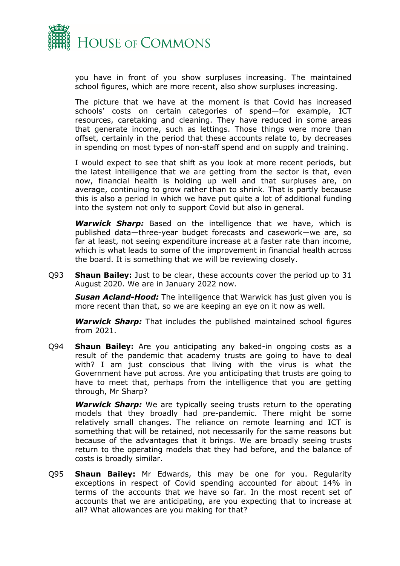

you have in front of you show surpluses increasing. The maintained school figures, which are more recent, also show surpluses increasing.

The picture that we have at the moment is that Covid has increased schools' costs on certain categories of spend—for example, ICT resources, caretaking and cleaning. They have reduced in some areas that generate income, such as lettings. Those things were more than offset, certainly in the period that these accounts relate to, by decreases in spending on most types of non-staff spend and on supply and training.

I would expect to see that shift as you look at more recent periods, but the latest intelligence that we are getting from the sector is that, even now, financial health is holding up well and that surpluses are, on average, continuing to grow rather than to shrink. That is partly because this is also a period in which we have put quite a lot of additional funding into the system not only to support Covid but also in general.

*Warwick Sharp:* Based on the intelligence that we have, which is published data—three-year budget forecasts and casework—we are, so far at least, not seeing expenditure increase at a faster rate than income, which is what leads to some of the improvement in financial health across the board. It is something that we will be reviewing closely.

Q93 **Shaun Bailey:** Just to be clear, these accounts cover the period up to 31 August 2020. We are in January 2022 now.

*Susan Acland-Hood:* The intelligence that Warwick has just given you is more recent than that, so we are keeping an eye on it now as well.

*Warwick Sharp:* That includes the published maintained school figures from 2021.

Q94 **Shaun Bailey:** Are you anticipating any baked-in ongoing costs as a result of the pandemic that academy trusts are going to have to deal with? I am just conscious that living with the virus is what the Government have put across. Are you anticipating that trusts are going to have to meet that, perhaps from the intelligence that you are getting through, Mr Sharp?

*Warwick Sharp:* We are typically seeing trusts return to the operating models that they broadly had pre-pandemic. There might be some relatively small changes. The reliance on remote learning and ICT is something that will be retained, not necessarily for the same reasons but because of the advantages that it brings. We are broadly seeing trusts return to the operating models that they had before, and the balance of costs is broadly similar.

Q95 **Shaun Bailey:** Mr Edwards, this may be one for you. Regularity exceptions in respect of Covid spending accounted for about 14% in terms of the accounts that we have so far. In the most recent set of accounts that we are anticipating, are you expecting that to increase at all? What allowances are you making for that?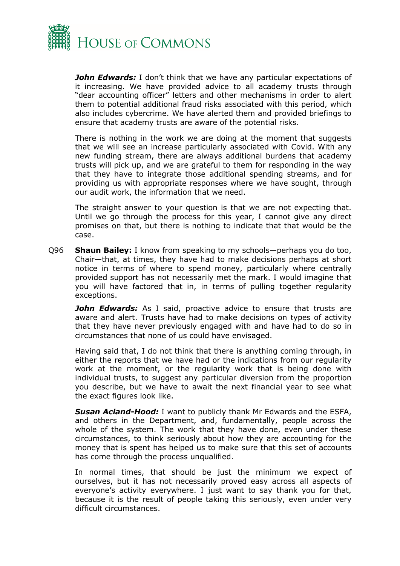

*John Edwards:* I don't think that we have any particular expectations of it increasing. We have provided advice to all academy trusts through "dear accounting officer" letters and other mechanisms in order to alert them to potential additional fraud risks associated with this period, which also includes cybercrime. We have alerted them and provided briefings to ensure that academy trusts are aware of the potential risks.

There is nothing in the work we are doing at the moment that suggests that we will see an increase particularly associated with Covid. With any new funding stream, there are always additional burdens that academy trusts will pick up, and we are grateful to them for responding in the way that they have to integrate those additional spending streams, and for providing us with appropriate responses where we have sought, through our audit work, the information that we need.

The straight answer to your question is that we are not expecting that. Until we go through the process for this year, I cannot give any direct promises on that, but there is nothing to indicate that that would be the case.

Q96 **Shaun Bailey:** I know from speaking to my schools—perhaps you do too, Chair—that, at times, they have had to make decisions perhaps at short notice in terms of where to spend money, particularly where centrally provided support has not necessarily met the mark. I would imagine that you will have factored that in, in terms of pulling together regularity exceptions.

John Edwards: As I said, proactive advice to ensure that trusts are aware and alert. Trusts have had to make decisions on types of activity that they have never previously engaged with and have had to do so in circumstances that none of us could have envisaged.

Having said that, I do not think that there is anything coming through, in either the reports that we have had or the indications from our regularity work at the moment, or the regularity work that is being done with individual trusts, to suggest any particular diversion from the proportion you describe, but we have to await the next financial year to see what the exact figures look like.

*Susan Acland-Hood:* I want to publicly thank Mr Edwards and the ESFA, and others in the Department, and, fundamentally, people across the whole of the system. The work that they have done, even under these circumstances, to think seriously about how they are accounting for the money that is spent has helped us to make sure that this set of accounts has come through the process unqualified.

In normal times, that should be just the minimum we expect of ourselves, but it has not necessarily proved easy across all aspects of everyone's activity everywhere. I just want to say thank you for that, because it is the result of people taking this seriously, even under very difficult circumstances.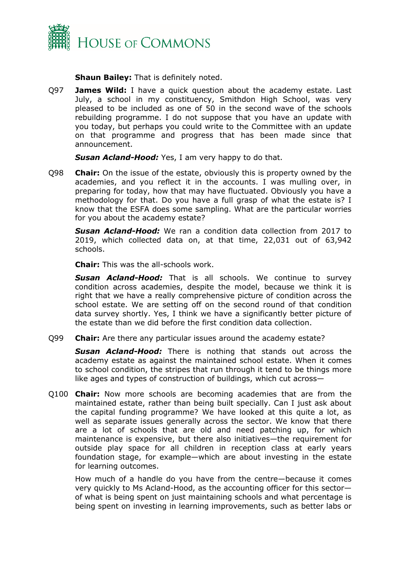

**Shaun Bailey:** That is definitely noted.

Q97 **James Wild:** I have a quick question about the academy estate. Last July, a school in my constituency, Smithdon High School, was very pleased to be included as one of 50 in the second wave of the schools rebuilding programme. I do not suppose that you have an update with you today, but perhaps you could write to the Committee with an update on that programme and progress that has been made since that announcement.

*Susan Acland-Hood:* Yes, I am very happy to do that.

Q98 **Chair:** On the issue of the estate, obviously this is property owned by the academies, and you reflect it in the accounts. I was mulling over, in preparing for today, how that may have fluctuated. Obviously you have a methodology for that. Do you have a full grasp of what the estate is? I know that the ESFA does some sampling. What are the particular worries for you about the academy estate?

*Susan Acland-Hood:* We ran a condition data collection from 2017 to 2019, which collected data on, at that time, 22,031 out of 63,942 schools.

**Chair:** This was the all-schools work.

*Susan Acland-Hood:* That is all schools. We continue to survey condition across academies, despite the model, because we think it is right that we have a really comprehensive picture of condition across the school estate. We are setting off on the second round of that condition data survey shortly. Yes, I think we have a significantly better picture of the estate than we did before the first condition data collection.

Q99 **Chair:** Are there any particular issues around the academy estate?

*Susan Acland-Hood:* There is nothing that stands out across the academy estate as against the maintained school estate. When it comes to school condition, the stripes that run through it tend to be things more like ages and types of construction of buildings, which cut across—

Q100 **Chair:** Now more schools are becoming academies that are from the maintained estate, rather than being built specially. Can I just ask about the capital funding programme? We have looked at this quite a lot, as well as separate issues generally across the sector. We know that there are a lot of schools that are old and need patching up, for which maintenance is expensive, but there also initiatives—the requirement for outside play space for all children in reception class at early years foundation stage, for example—which are about investing in the estate for learning outcomes.

How much of a handle do you have from the centre—because it comes very quickly to Ms Acland-Hood, as the accounting officer for this sector of what is being spent on just maintaining schools and what percentage is being spent on investing in learning improvements, such as better labs or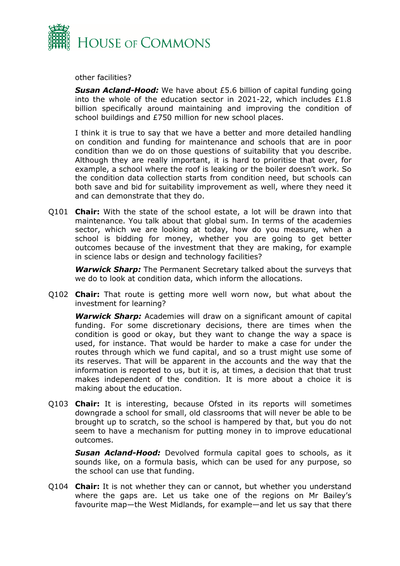

other facilities?

*Susan Acland-Hood:* We have about £5.6 billion of capital funding going into the whole of the education sector in 2021-22, which includes £1.8 billion specifically around maintaining and improving the condition of school buildings and £750 million for new school places.

I think it is true to say that we have a better and more detailed handling on condition and funding for maintenance and schools that are in poor condition than we do on those questions of suitability that you describe. Although they are really important, it is hard to prioritise that over, for example, a school where the roof is leaking or the boiler doesn't work. So the condition data collection starts from condition need, but schools can both save and bid for suitability improvement as well, where they need it and can demonstrate that they do.

Q101 **Chair:** With the state of the school estate, a lot will be drawn into that maintenance. You talk about that global sum. In terms of the academies sector, which we are looking at today, how do you measure, when a school is bidding for money, whether you are going to get better outcomes because of the investment that they are making, for example in science labs or design and technology facilities?

*Warwick Sharp:* The Permanent Secretary talked about the surveys that we do to look at condition data, which inform the allocations.

Q102 **Chair:** That route is getting more well worn now, but what about the investment for learning?

*Warwick Sharp:* Academies will draw on a significant amount of capital funding. For some discretionary decisions, there are times when the condition is good or okay, but they want to change the way a space is used, for instance. That would be harder to make a case for under the routes through which we fund capital, and so a trust might use some of its reserves. That will be apparent in the accounts and the way that the information is reported to us, but it is, at times, a decision that that trust makes independent of the condition. It is more about a choice it is making about the education.

Q103 **Chair:** It is interesting, because Ofsted in its reports will sometimes downgrade a school for small, old classrooms that will never be able to be brought up to scratch, so the school is hampered by that, but you do not seem to have a mechanism for putting money in to improve educational outcomes.

*Susan Acland-Hood:* Devolved formula capital goes to schools, as it sounds like, on a formula basis, which can be used for any purpose, so the school can use that funding.

Q104 **Chair:** It is not whether they can or cannot, but whether you understand where the gaps are. Let us take one of the regions on Mr Bailey's favourite map—the West Midlands, for example—and let us say that there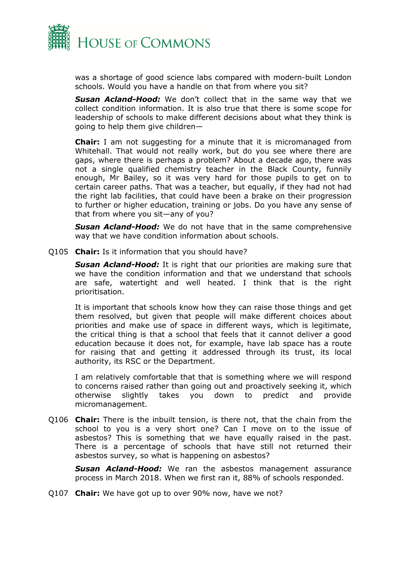

was a shortage of good science labs compared with modern-built London schools. Would you have a handle on that from where you sit?

*Susan Acland-Hood:* We don't collect that in the same way that we collect condition information. It is also true that there is some scope for leadership of schools to make different decisions about what they think is going to help them give children—

**Chair:** I am not suggesting for a minute that it is micromanaged from Whitehall. That would not really work, but do you see where there are gaps, where there is perhaps a problem? About a decade ago, there was not a single qualified chemistry teacher in the Black County, funnily enough, Mr Bailey, so it was very hard for those pupils to get on to certain career paths. That was a teacher, but equally, if they had not had the right lab facilities, that could have been a brake on their progression to further or higher education, training or jobs. Do you have any sense of that from where you sit—any of you?

*Susan Acland-Hood:* We do not have that in the same comprehensive way that we have condition information about schools.

Q105 **Chair:** Is it information that you should have?

*Susan Acland-Hood:* It is right that our priorities are making sure that we have the condition information and that we understand that schools are safe, watertight and well heated. I think that is the right prioritisation.

It is important that schools know how they can raise those things and get them resolved, but given that people will make different choices about priorities and make use of space in different ways, which is legitimate, the critical thing is that a school that feels that it cannot deliver a good education because it does not, for example, have lab space has a route for raising that and getting it addressed through its trust, its local authority, its RSC or the Department.

I am relatively comfortable that that is something where we will respond to concerns raised rather than going out and proactively seeking it, which otherwise slightly takes you down to predict and provide micromanagement.

Q106 **Chair:** There is the inbuilt tension, is there not, that the chain from the school to you is a very short one? Can I move on to the issue of asbestos? This is something that we have equally raised in the past. There is a percentage of schools that have still not returned their asbestos survey, so what is happening on asbestos?

*Susan Acland-Hood:* We ran the asbestos management assurance process in March 2018. When we first ran it, 88% of schools responded.

Q107 **Chair:** We have got up to over 90% now, have we not?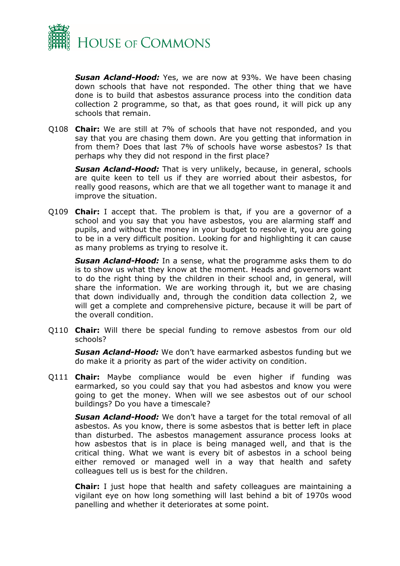

*Susan Acland-Hood:* Yes, we are now at 93%. We have been chasing down schools that have not responded. The other thing that we have done is to build that asbestos assurance process into the condition data collection 2 programme, so that, as that goes round, it will pick up any schools that remain.

Q108 **Chair:** We are still at 7% of schools that have not responded, and you say that you are chasing them down. Are you getting that information in from them? Does that last 7% of schools have worse asbestos? Is that perhaps why they did not respond in the first place?

**Susan Acland-Hood:** That is very unlikely, because, in general, schools are quite keen to tell us if they are worried about their asbestos, for really good reasons, which are that we all together want to manage it and improve the situation.

Q109 **Chair:** I accept that. The problem is that, if you are a governor of a school and you say that you have asbestos, you are alarming staff and pupils, and without the money in your budget to resolve it, you are going to be in a very difficult position. Looking for and highlighting it can cause as many problems as trying to resolve it.

*Susan Acland-Hood:* In a sense, what the programme asks them to do is to show us what they know at the moment. Heads and governors want to do the right thing by the children in their school and, in general, will share the information. We are working through it, but we are chasing that down individually and, through the condition data collection 2, we will get a complete and comprehensive picture, because it will be part of the overall condition.

Q110 **Chair:** Will there be special funding to remove asbestos from our old schools?

*Susan Acland-Hood:* We don't have earmarked asbestos funding but we do make it a priority as part of the wider activity on condition.

Q111 **Chair:** Maybe compliance would be even higher if funding was earmarked, so you could say that you had asbestos and know you were going to get the money. When will we see asbestos out of our school buildings? Do you have a timescale?

*Susan Acland-Hood:* We don't have a target for the total removal of all asbestos. As you know, there is some asbestos that is better left in place than disturbed. The asbestos management assurance process looks at how asbestos that is in place is being managed well, and that is the critical thing. What we want is every bit of asbestos in a school being either removed or managed well in a way that health and safety colleagues tell us is best for the children.

**Chair:** I just hope that health and safety colleagues are maintaining a vigilant eye on how long something will last behind a bit of 1970s wood panelling and whether it deteriorates at some point.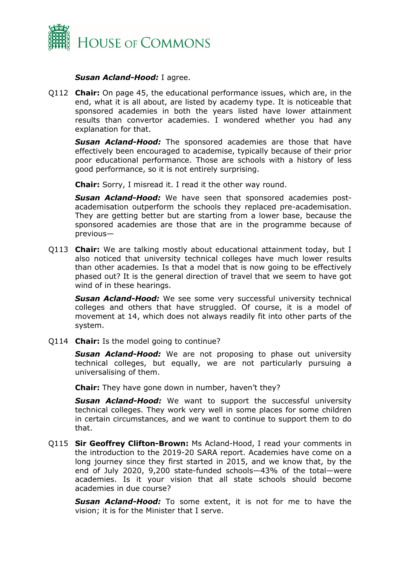

#### *Susan Acland-Hood:* I agree.

Q112 **Chair:** On page 45, the educational performance issues, which are, in the end, what it is all about, are listed by academy type. It is noticeable that sponsored academies in both the years listed have lower attainment results than convertor academies. I wondered whether you had any explanation for that.

*Susan Acland-Hood:* The sponsored academies are those that have effectively been encouraged to academise, typically because of their prior poor educational performance. Those are schools with a history of less good performance, so it is not entirely surprising.

**Chair:** Sorry, I misread it. I read it the other way round.

*Susan Acland-Hood:* We have seen that sponsored academies postacademisation outperform the schools they replaced pre-academisation. They are getting better but are starting from a lower base, because the sponsored academies are those that are in the programme because of previous—

Q113 **Chair:** We are talking mostly about educational attainment today, but I also noticed that university technical colleges have much lower results than other academies. Is that a model that is now going to be effectively phased out? It is the general direction of travel that we seem to have got wind of in these hearings.

*Susan Acland-Hood:* We see some very successful university technical colleges and others that have struggled. Of course, it is a model of movement at 14, which does not always readily fit into other parts of the system.

Q114 **Chair:** Is the model going to continue?

*Susan Acland-Hood:* We are not proposing to phase out university technical colleges, but equally, we are not particularly pursuing a universalising of them.

**Chair:** They have gone down in number, haven't they?

*Susan Acland-Hood:* We want to support the successful university technical colleges. They work very well in some places for some children in certain circumstances, and we want to continue to support them to do that.

Q115 **Sir Geoffrey Clifton-Brown:** Ms Acland-Hood, I read your comments in the introduction to the 2019-20 SARA report. Academies have come on a long journey since they first started in 2015, and we know that, by the end of July 2020, 9,200 state-funded schools—43% of the total—were academies. Is it your vision that all state schools should become academies in due course?

*Susan Acland-Hood:* To some extent, it is not for me to have the vision; it is for the Minister that I serve.